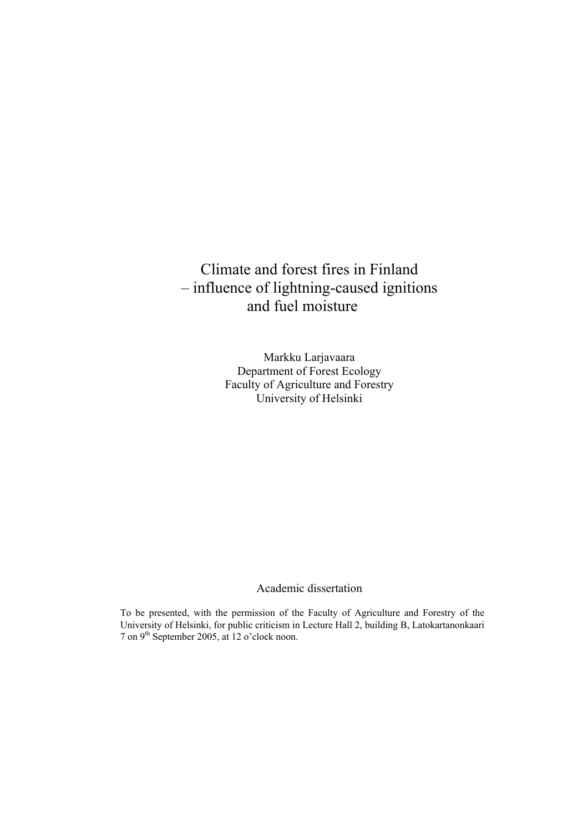# Climate and forest fires in Finland – influence of lightning-caused ignitions and fuel moisture

Markku Larjavaara Department of Forest Ecology Faculty of Agriculture and Forestry University of Helsinki

# Academic dissertation

To be presented, with the permission of the Faculty of Agriculture and Forestry of the University of Helsinki, for public criticism in Lecture Hall 2, building B, Latokartanonkaari 7 on 9th September 2005, at 12 o'clock noon.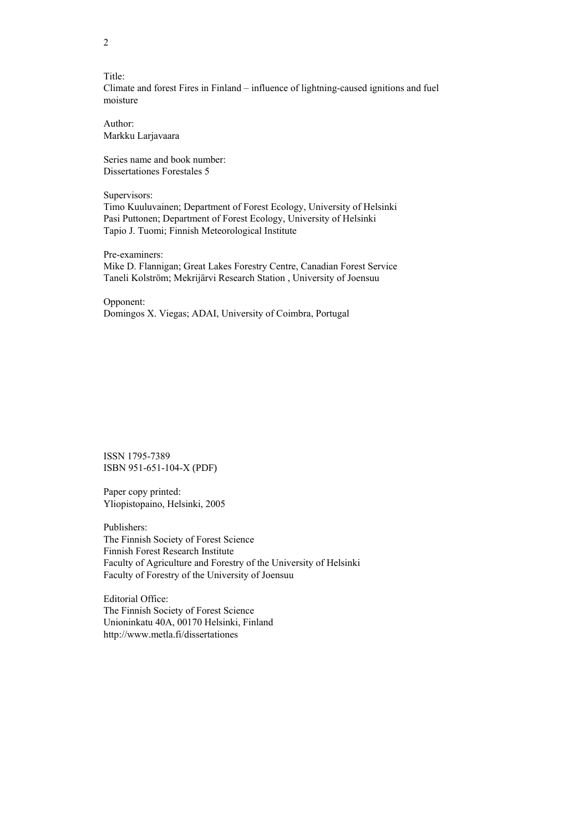Title: Climate and forest Fires in Finland – influence of lightning-caused ignitions and fuel moisture

Author: Markku Larjavaara

Series name and book number: Dissertationes Forestales 5

Supervisors:

Timo Kuuluvainen; Department of Forest Ecology, University of Helsinki Pasi Puttonen; Department of Forest Ecology, University of Helsinki Tapio J. Tuomi; Finnish Meteorological Institute

Pre-examiners: Mike D. Flannigan; Great Lakes Forestry Centre, Canadian Forest Service Taneli Kolström; Mekrijärvi Research Station , University of Joensuu

Opponent: Domingos X. Viegas; ADAI, University of Coimbra, Portugal

ISSN 1795-7389 ISBN 951-651-104-X (PDF)

Paper copy printed: Yliopistopaino, Helsinki, 2005

Publishers: The Finnish Society of Forest Science Finnish Forest Research Institute Faculty of Agriculture and Forestry of the University of Helsinki Faculty of Forestry of the University of Joensuu

Editorial Office: The Finnish Society of Forest Science Unioninkatu 40A, 00170 Helsinki, Finland http://www.metla.fi/dissertationes

2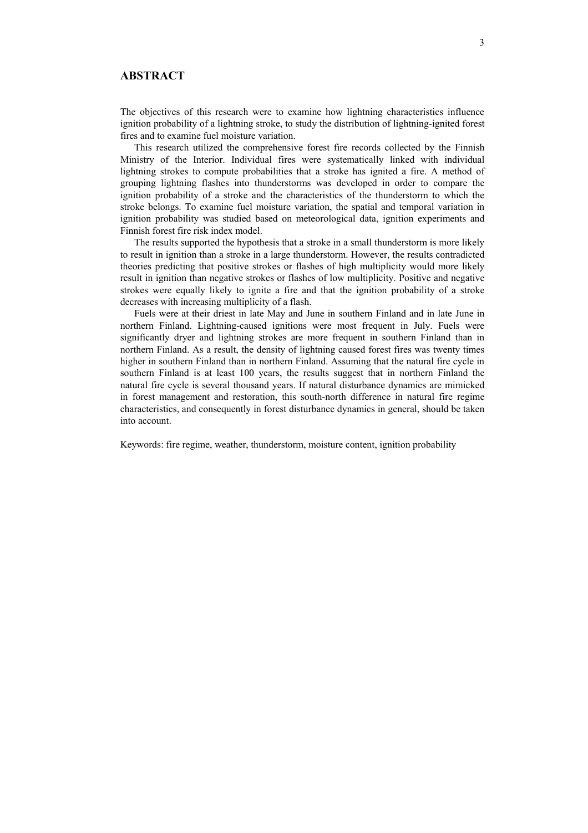# **ABSTRACT**

The objectives of this research were to examine how lightning characteristics influence ignition probability of a lightning stroke, to study the distribution of lightning-ignited forest fires and to examine fuel moisture variation.

This research utilized the comprehensive forest fire records collected by the Finnish Ministry of the Interior. Individual fires were systematically linked with individual lightning strokes to compute probabilities that a stroke has ignited a fire. A method of grouping lightning flashes into thunderstorms was developed in order to compare the ignition probability of a stroke and the characteristics of the thunderstorm to which the stroke belongs. To examine fuel moisture variation, the spatial and temporal variation in ignition probability was studied based on meteorological data, ignition experiments and Finnish forest fire risk index model.

The results supported the hypothesis that a stroke in a small thunderstorm is more likely to result in ignition than a stroke in a large thunderstorm. However, the results contradicted theories predicting that positive strokes or flashes of high multiplicity would more likely result in ignition than negative strokes or flashes of low multiplicity. Positive and negative strokes were equally likely to ignite a fire and that the ignition probability of a stroke decreases with increasing multiplicity of a flash.

Fuels were at their driest in late May and June in southern Finland and in late June in northern Finland. Lightning-caused ignitions were most frequent in July. Fuels were significantly dryer and lightning strokes are more frequent in southern Finland than in northern Finland. As a result, the density of lightning caused forest fires was twenty times higher in southern Finland than in northern Finland. Assuming that the natural fire cycle in southern Finland is at least 100 years, the results suggest that in northern Finland the natural fire cycle is several thousand years. If natural disturbance dynamics are mimicked in forest management and restoration, this south-north difference in natural fire regime characteristics, and consequently in forest disturbance dynamics in general, should be taken into account.

Keywords: fire regime, weather, thunderstorm, moisture content, ignition probability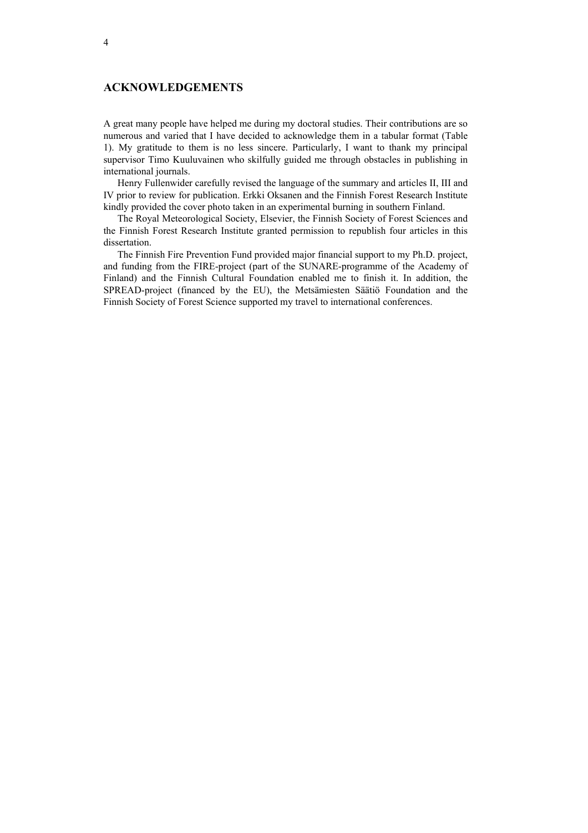# **ACKNOWLEDGEMENTS**

A great many people have helped me during my doctoral studies. Their contributions are so numerous and varied that I have decided to acknowledge them in a tabular format (Table 1). My gratitude to them is no less sincere. Particularly, I want to thank my principal supervisor Timo Kuuluvainen who skilfully guided me through obstacles in publishing in international journals.

Henry Fullenwider carefully revised the language of the summary and articles II, III and IV prior to review for publication. Erkki Oksanen and the Finnish Forest Research Institute kindly provided the cover photo taken in an experimental burning in southern Finland.

The Royal Meteorological Society, Elsevier, the Finnish Society of Forest Sciences and the Finnish Forest Research Institute granted permission to republish four articles in this dissertation.

The Finnish Fire Prevention Fund provided major financial support to my Ph.D. project, and funding from the FIRE-project (part of the SUNARE-programme of the Academy of Finland) and the Finnish Cultural Foundation enabled me to finish it. In addition, the SPREAD-project (financed by the EU), the Metsämiesten Säätiö Foundation and the Finnish Society of Forest Science supported my travel to international conferences.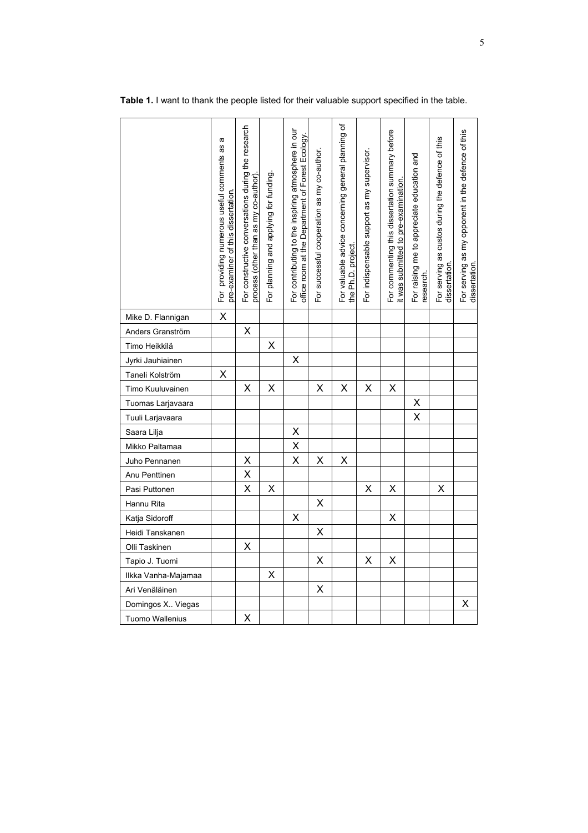|                        | σ<br>For providing numerous useful comments as<br>pre-examiner of this dissertation | For constructive conversations during the research<br>process (other than as my co-author) | For planning and applying for funding | For contributing to the inspiring atmosphere in our<br>office room at the Department of Forest Ecology | For successful cooperation as my co-author. | For valuable advice concerning general planning of<br>the Ph.D. project. | For indispensable support as my supervisor. | For commenting this dissertation summary before<br>it was submitted to pre-examination | For raising me to appreciate education and<br>research. | For serving as custos during the defence of this<br>dissertation. | For serving as my opponent in the defence of this<br>dissertation |
|------------------------|-------------------------------------------------------------------------------------|--------------------------------------------------------------------------------------------|---------------------------------------|--------------------------------------------------------------------------------------------------------|---------------------------------------------|--------------------------------------------------------------------------|---------------------------------------------|----------------------------------------------------------------------------------------|---------------------------------------------------------|-------------------------------------------------------------------|-------------------------------------------------------------------|
| Mike D. Flannigan      | X                                                                                   |                                                                                            |                                       |                                                                                                        |                                             |                                                                          |                                             |                                                                                        |                                                         |                                                                   |                                                                   |
| Anders Granström       |                                                                                     | Χ                                                                                          |                                       |                                                                                                        |                                             |                                                                          |                                             |                                                                                        |                                                         |                                                                   |                                                                   |
| Timo Heikkilä          |                                                                                     |                                                                                            | Χ                                     |                                                                                                        |                                             |                                                                          |                                             |                                                                                        |                                                         |                                                                   |                                                                   |
| Jyrki Jauhiainen       |                                                                                     |                                                                                            |                                       | Χ                                                                                                      |                                             |                                                                          |                                             |                                                                                        |                                                         |                                                                   |                                                                   |
| Taneli Kolström        | X                                                                                   |                                                                                            |                                       |                                                                                                        |                                             |                                                                          |                                             |                                                                                        |                                                         |                                                                   |                                                                   |
| Timo Kuuluvainen       |                                                                                     | X                                                                                          | X                                     |                                                                                                        | X                                           | X                                                                        | X                                           | Χ                                                                                      |                                                         |                                                                   |                                                                   |
| Tuomas Larjavaara      |                                                                                     |                                                                                            |                                       |                                                                                                        |                                             |                                                                          |                                             |                                                                                        | Χ                                                       |                                                                   |                                                                   |
| Tuuli Larjavaara       |                                                                                     |                                                                                            |                                       |                                                                                                        |                                             |                                                                          |                                             |                                                                                        | $\overline{\mathsf{x}}$                                 |                                                                   |                                                                   |
| Saara Lilja            |                                                                                     |                                                                                            |                                       | Χ                                                                                                      |                                             |                                                                          |                                             |                                                                                        |                                                         |                                                                   |                                                                   |
| Mikko Paltamaa         |                                                                                     |                                                                                            |                                       | Χ                                                                                                      |                                             |                                                                          |                                             |                                                                                        |                                                         |                                                                   |                                                                   |
| Juho Pennanen          |                                                                                     | Χ                                                                                          |                                       | X                                                                                                      | Χ                                           | Χ                                                                        |                                             |                                                                                        |                                                         |                                                                   |                                                                   |
| Anu Penttinen          |                                                                                     | X                                                                                          |                                       |                                                                                                        |                                             |                                                                          |                                             |                                                                                        |                                                         |                                                                   |                                                                   |
| Pasi Puttonen          |                                                                                     | X                                                                                          | X                                     |                                                                                                        |                                             |                                                                          | X                                           | X                                                                                      |                                                         | X                                                                 |                                                                   |
| Hannu Rita             |                                                                                     |                                                                                            |                                       |                                                                                                        | X                                           |                                                                          |                                             |                                                                                        |                                                         |                                                                   |                                                                   |
| Katja Sidoroff         |                                                                                     |                                                                                            |                                       | X                                                                                                      |                                             |                                                                          |                                             | X                                                                                      |                                                         |                                                                   |                                                                   |
| Heidi Tanskanen        |                                                                                     |                                                                                            |                                       |                                                                                                        | X                                           |                                                                          |                                             |                                                                                        |                                                         |                                                                   |                                                                   |
| Olli Taskinen          |                                                                                     | Χ                                                                                          |                                       |                                                                                                        |                                             |                                                                          |                                             |                                                                                        |                                                         |                                                                   |                                                                   |
| Tapio J. Tuomi         |                                                                                     |                                                                                            |                                       |                                                                                                        | X                                           |                                                                          | Χ                                           | Χ                                                                                      |                                                         |                                                                   |                                                                   |
| Ilkka Vanha-Majamaa    |                                                                                     |                                                                                            | Χ                                     |                                                                                                        |                                             |                                                                          |                                             |                                                                                        |                                                         |                                                                   |                                                                   |
| Ari Venäläinen         |                                                                                     |                                                                                            |                                       |                                                                                                        | Χ                                           |                                                                          |                                             |                                                                                        |                                                         |                                                                   |                                                                   |
| Domingos X. Viegas     |                                                                                     |                                                                                            |                                       |                                                                                                        |                                             |                                                                          |                                             |                                                                                        |                                                         |                                                                   | Χ                                                                 |
| <b>Tuomo Wallenius</b> |                                                                                     | Χ                                                                                          |                                       |                                                                                                        |                                             |                                                                          |                                             |                                                                                        |                                                         |                                                                   |                                                                   |

**Table 1.** I want to thank the people listed for their valuable support specified in the table.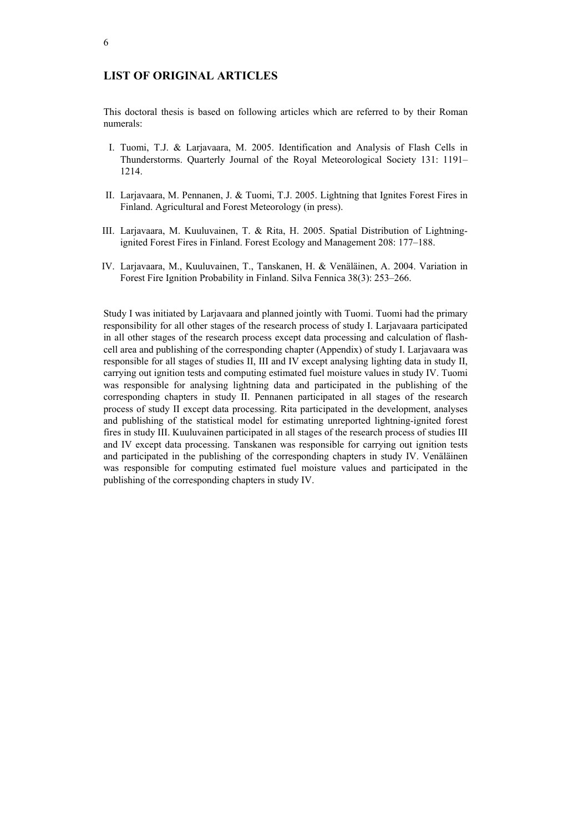# **LIST OF ORIGINAL ARTICLES**

This doctoral thesis is based on following articles which are referred to by their Roman numerals:

- I. Tuomi, T.J. & Larjavaara, M. 2005. Identification and Analysis of Flash Cells in Thunderstorms. Quarterly Journal of the Royal Meteorological Society 131: 1191– 1214.
- II. Larjavaara, M. Pennanen, J. & Tuomi, T.J. 2005. Lightning that Ignites Forest Fires in Finland. Agricultural and Forest Meteorology (in press).
- III. Larjavaara, M. Kuuluvainen, T. & Rita, H. 2005. Spatial Distribution of Lightningignited Forest Fires in Finland. Forest Ecology and Management 208: 177–188.
- IV. Larjavaara, M., Kuuluvainen, T., Tanskanen, H. & Venäläinen, A. 2004. Variation in Forest Fire Ignition Probability in Finland. Silva Fennica 38(3): 253–266.

Study I was initiated by Larjavaara and planned jointly with Tuomi. Tuomi had the primary responsibility for all other stages of the research process of study I. Larjavaara participated in all other stages of the research process except data processing and calculation of flashcell area and publishing of the corresponding chapter (Appendix) of study I. Larjavaara was responsible for all stages of studies II, III and IV except analysing lighting data in study II, carrying out ignition tests and computing estimated fuel moisture values in study IV. Tuomi was responsible for analysing lightning data and participated in the publishing of the corresponding chapters in study II. Pennanen participated in all stages of the research process of study II except data processing. Rita participated in the development, analyses and publishing of the statistical model for estimating unreported lightning-ignited forest fires in study III. Kuuluvainen participated in all stages of the research process of studies III and IV except data processing. Tanskanen was responsible for carrying out ignition tests and participated in the publishing of the corresponding chapters in study IV. Venäläinen was responsible for computing estimated fuel moisture values and participated in the publishing of the corresponding chapters in study IV.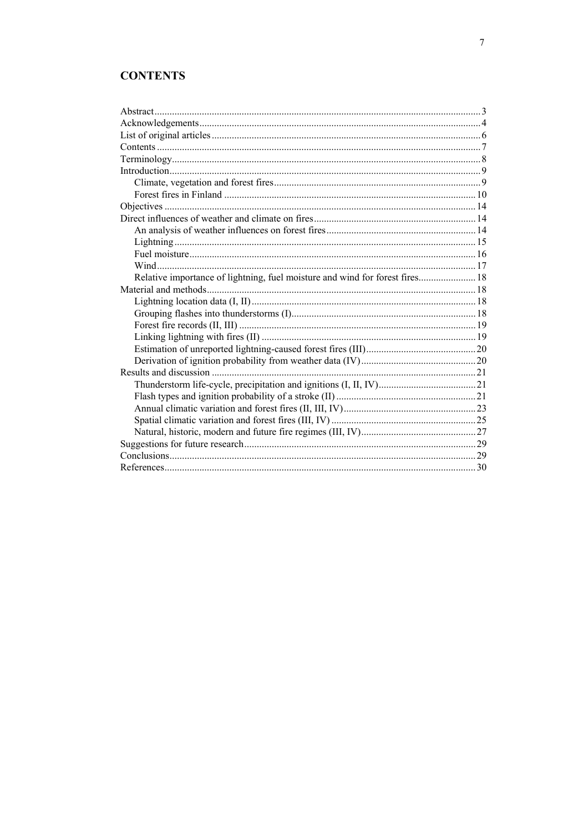# **CONTENTS**

| Relative importance of lightning, fuel moisture and wind for forest fires 18 |  |
|------------------------------------------------------------------------------|--|
|                                                                              |  |
|                                                                              |  |
|                                                                              |  |
|                                                                              |  |
|                                                                              |  |
|                                                                              |  |
|                                                                              |  |
|                                                                              |  |
|                                                                              |  |
|                                                                              |  |
|                                                                              |  |
|                                                                              |  |
|                                                                              |  |
|                                                                              |  |
|                                                                              |  |
|                                                                              |  |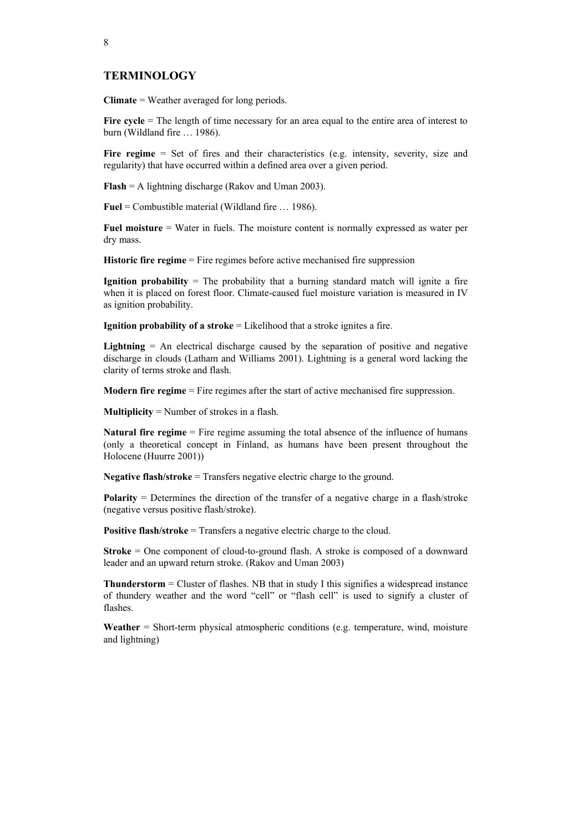## **TERMINOLOGY**

**Climate** = Weather averaged for long periods.

Fire cycle = The length of time necessary for an area equal to the entire area of interest to burn (Wildland fire … 1986).

Fire regime = Set of fires and their characteristics (e.g. intensity, severity, size and regularity) that have occurred within a defined area over a given period.

**Flash** = A lightning discharge (Rakov and Uman 2003).

**Fuel** = Combustible material (Wildland fire … 1986).

**Fuel moisture** = Water in fuels. The moisture content is normally expressed as water per dry mass.

**Historic fire regime** = Fire regimes before active mechanised fire suppression

**Ignition probability** = The probability that a burning standard match will ignite a fire when it is placed on forest floor. Climate-caused fuel moisture variation is measured in IV as ignition probability.

**Ignition probability of a stroke** = Likelihood that a stroke ignites a fire.

**Lightning**  $=$  An electrical discharge caused by the separation of positive and negative discharge in clouds (Latham and Williams 2001). Lightning is a general word lacking the clarity of terms stroke and flash.

**Modern fire regime** = Fire regimes after the start of active mechanised fire suppression.

**Multiplicity** = Number of strokes in a flash.

**Natural fire regime** = Fire regime assuming the total absence of the influence of humans (only a theoretical concept in Finland, as humans have been present throughout the Holocene (Huurre 2001))

**Negative flash/stroke** = Transfers negative electric charge to the ground.

**Polarity** = Determines the direction of the transfer of a negative charge in a flash/stroke (negative versus positive flash/stroke).

**Positive flash/stroke** = Transfers a negative electric charge to the cloud.

**Stroke** = One component of cloud-to-ground flash. A stroke is composed of a downward leader and an upward return stroke. (Rakov and Uman 2003)

**Thunderstorm** = Cluster of flashes. NB that in study I this signifies a widespread instance of thundery weather and the word "cell" or "flash cell" is used to signify a cluster of flashes.

**Weather** = Short-term physical atmospheric conditions (e.g. temperature, wind, moisture and lightning)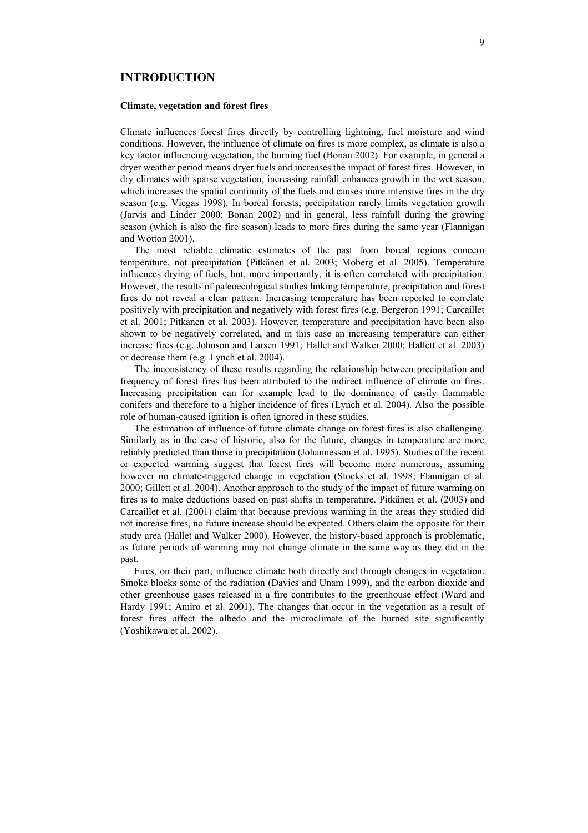## **INTRODUCTION**

### **Climate, vegetation and forest fires**

Climate influences forest fires directly by controlling lightning, fuel moisture and wind conditions. However, the influence of climate on fires is more complex, as climate is also a key factor influencing vegetation, the burning fuel (Bonan 2002). For example, in general a dryer weather period means dryer fuels and increases the impact of forest fires. However, in dry climates with sparse vegetation, increasing rainfall enhances growth in the wet season, which increases the spatial continuity of the fuels and causes more intensive fires in the dry season (e.g. Viegas 1998). In boreal forests, precipitation rarely limits vegetation growth (Jarvis and Linder 2000; Bonan 2002) and in general, less rainfall during the growing season (which is also the fire season) leads to more fires during the same year (Flannigan and Wotton 2001).

The most reliable climatic estimates of the past from boreal regions concern temperature, not precipitation (Pitkänen et al. 2003; Moberg et al. 2005). Temperature influences drying of fuels, but, more importantly, it is often correlated with precipitation. However, the results of paleoecological studies linking temperature, precipitation and forest fires do not reveal a clear pattern. Increasing temperature has been reported to correlate positively with precipitation and negatively with forest fires (e.g. Bergeron 1991; Carcaillet et al. 2001; Pitkänen et al. 2003). However, temperature and precipitation have been also shown to be negatively correlated, and in this case an increasing temperature can either increase fires (e.g. Johnson and Larsen 1991; Hallet and Walker 2000; Hallett et al. 2003) or decrease them (e.g. Lynch et al. 2004).

The inconsistency of these results regarding the relationship between precipitation and frequency of forest fires has been attributed to the indirect influence of climate on fires. Increasing precipitation can for example lead to the dominance of easily flammable conifers and therefore to a higher incidence of fires (Lynch et al. 2004). Also the possible role of human-caused ignition is often ignored in these studies.

The estimation of influence of future climate change on forest fires is also challenging. Similarly as in the case of historic, also for the future, changes in temperature are more reliably predicted than those in precipitation (Johannesson et al. 1995). Studies of the recent or expected warming suggest that forest fires will become more numerous, assuming however no climate-triggered change in vegetation (Stocks et al. 1998; Flannigan et al. 2000; Gillett et al. 2004). Another approach to the study of the impact of future warming on fires is to make deductions based on past shifts in temperature. Pitkänen et al. (2003) and Carcaillet et al. (2001) claim that because previous warming in the areas they studied did not increase fires, no future increase should be expected. Others claim the opposite for their study area (Hallet and Walker 2000). However, the history-based approach is problematic, as future periods of warming may not change climate in the same way as they did in the past.

Fires, on their part, influence climate both directly and through changes in vegetation. Smoke blocks some of the radiation (Davies and Unam 1999), and the carbon dioxide and other greenhouse gases released in a fire contributes to the greenhouse effect (Ward and Hardy 1991; Amiro et al. 2001). The changes that occur in the vegetation as a result of forest fires affect the albedo and the microclimate of the burned site significantly (Yoshikawa et al. 2002).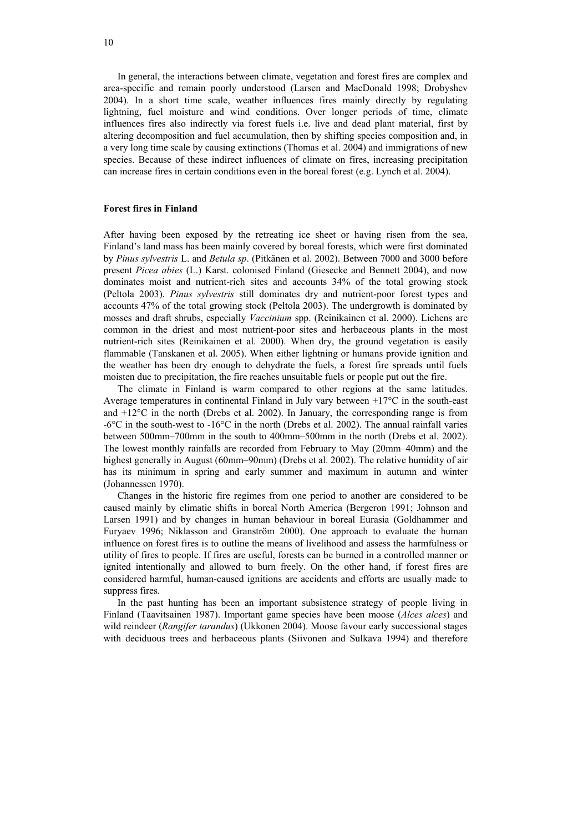In general, the interactions between climate, vegetation and forest fires are complex and area-specific and remain poorly understood (Larsen and MacDonald 1998; Drobyshev 2004). In a short time scale, weather influences fires mainly directly by regulating lightning, fuel moisture and wind conditions. Over longer periods of time, climate influences fires also indirectly via forest fuels i.e. live and dead plant material, first by altering decomposition and fuel accumulation, then by shifting species composition and, in a very long time scale by causing extinctions (Thomas et al. 2004) and immigrations of new species. Because of these indirect influences of climate on fires, increasing precipitation can increase fires in certain conditions even in the boreal forest (e.g. Lynch et al. 2004).

#### **Forest fires in Finland**

After having been exposed by the retreating ice sheet or having risen from the sea, Finland's land mass has been mainly covered by boreal forests, which were first dominated by *Pinus sylvestris* L. and *Betula sp*. (Pitkänen et al. 2002). Between 7000 and 3000 before present *Picea abies* (L.) Karst. colonised Finland (Giesecke and Bennett 2004), and now dominates moist and nutrient-rich sites and accounts 34% of the total growing stock (Peltola 2003). *Pinus sylvestris* still dominates dry and nutrient-poor forest types and accounts 47% of the total growing stock (Peltola 2003). The undergrowth is dominated by mosses and draft shrubs, especially *Vaccinium* spp. (Reinikainen et al. 2000). Lichens are common in the driest and most nutrient-poor sites and herbaceous plants in the most nutrient-rich sites (Reinikainen et al. 2000). When dry, the ground vegetation is easily flammable (Tanskanen et al. 2005). When either lightning or humans provide ignition and the weather has been dry enough to dehydrate the fuels, a forest fire spreads until fuels moisten due to precipitation, the fire reaches unsuitable fuels or people put out the fire.

The climate in Finland is warm compared to other regions at the same latitudes. Average temperatures in continental Finland in July vary between +17°C in the south-east and  $+12^{\circ}$ C in the north (Drebs et al. 2002). In January, the corresponding range is from  $-6^{\circ}$ C in the south-west to  $-16^{\circ}$ C in the north (Drebs et al. 2002). The annual rainfall varies between 500mm–700mm in the south to 400mm–500mm in the north (Drebs et al. 2002). The lowest monthly rainfalls are recorded from February to May (20mm–40mm) and the highest generally in August (60mm–90mm) (Drebs et al. 2002). The relative humidity of air has its minimum in spring and early summer and maximum in autumn and winter (Johannessen 1970).

Changes in the historic fire regimes from one period to another are considered to be caused mainly by climatic shifts in boreal North America (Bergeron 1991; Johnson and Larsen 1991) and by changes in human behaviour in boreal Eurasia (Goldhammer and Furyaev 1996; Niklasson and Granström 2000). One approach to evaluate the human influence on forest fires is to outline the means of livelihood and assess the harmfulness or utility of fires to people. If fires are useful, forests can be burned in a controlled manner or ignited intentionally and allowed to burn freely. On the other hand, if forest fires are considered harmful, human-caused ignitions are accidents and efforts are usually made to suppress fires.

In the past hunting has been an important subsistence strategy of people living in Finland (Taavitsainen 1987). Important game species have been moose (*Alces alces*) and wild reindeer (*Rangifer tarandus*) (Ukkonen 2004). Moose favour early successional stages with deciduous trees and herbaceous plants (Siivonen and Sulkava 1994) and therefore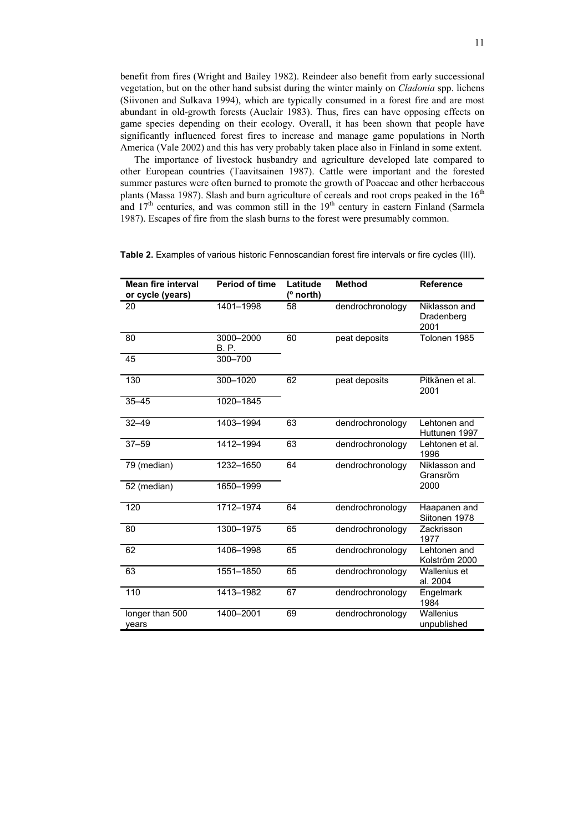benefit from fires (Wright and Bailey 1982). Reindeer also benefit from early successional vegetation, but on the other hand subsist during the winter mainly on *Cladonia* spp. lichens (Siivonen and Sulkava 1994), which are typically consumed in a forest fire and are most abundant in old-growth forests (Auclair 1983). Thus, fires can have opposing effects on game species depending on their ecology. Overall, it has been shown that people have significantly influenced forest fires to increase and manage game populations in North America (Vale 2002) and this has very probably taken place also in Finland in some extent.

The importance of livestock husbandry and agriculture developed late compared to other European countries (Taavitsainen 1987). Cattle were important and the forested summer pastures were often burned to promote the growth of Poaceae and other herbaceous plants (Massa 1987). Slash and burn agriculture of cereals and root crops peaked in the  $16<sup>th</sup>$ and  $17<sup>th</sup>$  centuries, and was common still in the  $19<sup>th</sup>$  century in eastern Finland (Sarmela 1987). Escapes of fire from the slash burns to the forest were presumably common.

| <b>Mean fire interval</b><br>or cycle (years) | <b>Period of time</b>    | Latitude<br>(° north) | <b>Method</b>    | <b>Reference</b>                    |
|-----------------------------------------------|--------------------------|-----------------------|------------------|-------------------------------------|
| 20                                            | 1401-1998                | 58                    | dendrochronology | Niklasson and<br>Dradenberg<br>2001 |
| 80                                            | 3000-2000<br><b>B.P.</b> | 60                    | peat deposits    | Tolonen 1985                        |
| 45                                            | 300-700                  |                       |                  |                                     |
| 130                                           | 300-1020                 | 62                    | peat deposits    | Pitkänen et al.<br>2001             |
| $35 - 45$                                     | 1020-1845                |                       |                  |                                     |
| $32 - 49$                                     | 1403-1994                | 63                    | dendrochronology | Lehtonen and<br>Huttunen 1997       |
| $37 - 59$                                     | 1412-1994                | 63                    | dendrochronology | Lehtonen et al.<br>1996             |
| 79 (median)                                   | 1232-1650                | 64                    | dendrochronology | Niklasson and<br>Gransröm           |
| 52 (median)                                   | 1650-1999                |                       |                  | 2000                                |
| 120                                           | 1712-1974                | 64                    | dendrochronology | Haapanen and<br>Siitonen 1978       |
| 80                                            | 1300-1975                | 65                    | dendrochronology | Zackrisson<br>1977                  |
| 62                                            | 1406-1998                | 65                    | dendrochronology | Lehtonen and<br>Kolström 2000       |
| 63                                            | 1551-1850                | 65                    | dendrochronology | Wallenius et<br>al. 2004            |
| 110                                           | 1413-1982                | 67                    | dendrochronology | Engelmark<br>1984                   |
| longer than 500<br>vears                      | 1400-2001                | 69                    | dendrochronology | <b>Wallenius</b><br>unpublished     |

**Table 2.** Examples of various historic Fennoscandian forest fire intervals or fire cycles (III).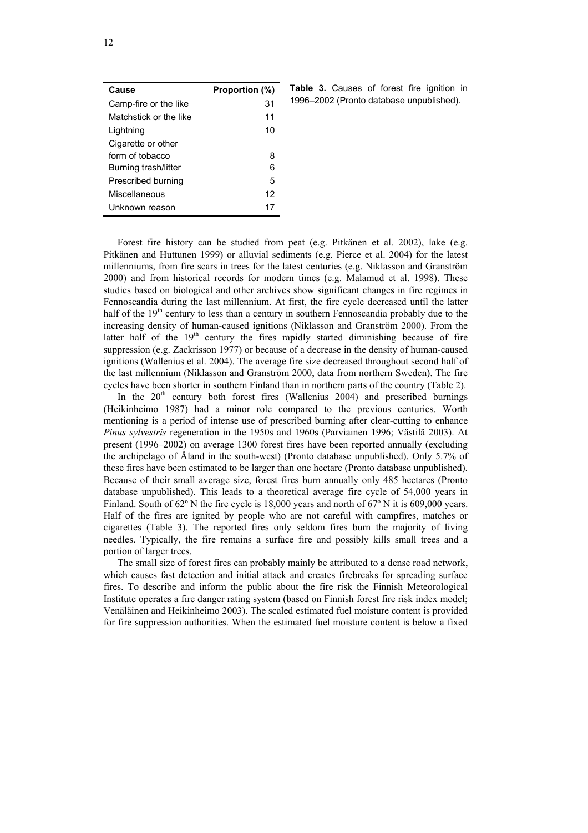| Cause                  | Proportion (%) |
|------------------------|----------------|
| Camp-fire or the like  | 31             |
| Matchstick or the like | 11             |
| Lightning              | 10             |
| Cigarette or other     |                |
| form of tobacco        | 8              |
| Burning trash/litter   | 6              |
| Prescribed burning     | 5              |
| Miscellaneous          | 12             |
| Unknown reason         | 17             |

Table 3. Causes of forest fire ignition in 1996–2002 (Pronto database unpublished).

Forest fire history can be studied from peat (e.g. Pitkänen et al. 2002), lake (e.g. Pitkänen and Huttunen 1999) or alluvial sediments (e.g. Pierce et al. 2004) for the latest millenniums, from fire scars in trees for the latest centuries (e.g. Niklasson and Granström 2000) and from historical records for modern times (e.g. Malamud et al. 1998). These studies based on biological and other archives show significant changes in fire regimes in Fennoscandia during the last millennium. At first, the fire cycle decreased until the latter half of the  $19<sup>th</sup>$  century to less than a century in southern Fennoscandia probably due to the increasing density of human-caused ignitions (Niklasson and Granström 2000). From the latter half of the  $19<sup>th</sup>$  century the fires rapidly started diminishing because of fire suppression (e.g. Zackrisson 1977) or because of a decrease in the density of human-caused ignitions (Wallenius et al. 2004). The average fire size decreased throughout second half of the last millennium (Niklasson and Granström 2000, data from northern Sweden). The fire cycles have been shorter in southern Finland than in northern parts of the country (Table 2).

In the  $20<sup>th</sup>$  century both forest fires (Wallenius 2004) and prescribed burnings (Heikinheimo 1987) had a minor role compared to the previous centuries. Worth mentioning is a period of intense use of prescribed burning after clear-cutting to enhance *Pinus sylvestris* regeneration in the 1950s and 1960s (Parviainen 1996; Västilä 2003). At present (1996–2002) on average 1300 forest fires have been reported annually (excluding the archipelago of Åland in the south-west) (Pronto database unpublished). Only 5.7% of these fires have been estimated to be larger than one hectare (Pronto database unpublished). Because of their small average size, forest fires burn annually only 485 hectares (Pronto database unpublished). This leads to a theoretical average fire cycle of 54,000 years in Finland. South of 62° N the fire cycle is 18,000 years and north of 67° N it is 609,000 years. Half of the fires are ignited by people who are not careful with campfires, matches or cigarettes (Table 3). The reported fires only seldom fires burn the majority of living needles. Typically, the fire remains a surface fire and possibly kills small trees and a portion of larger trees.

The small size of forest fires can probably mainly be attributed to a dense road network, which causes fast detection and initial attack and creates firebreaks for spreading surface fires. To describe and inform the public about the fire risk the Finnish Meteorological Institute operates a fire danger rating system (based on Finnish forest fire risk index model; Venäläinen and Heikinheimo 2003). The scaled estimated fuel moisture content is provided for fire suppression authorities. When the estimated fuel moisture content is below a fixed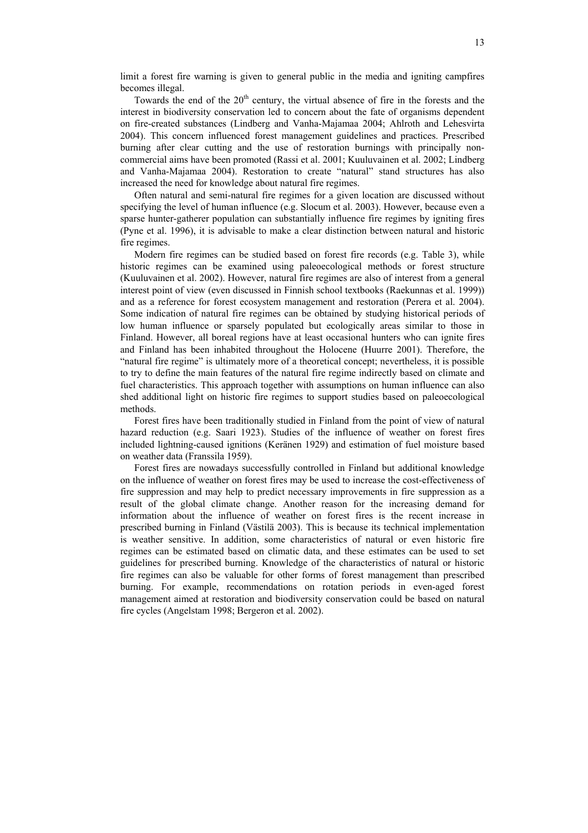limit a forest fire warning is given to general public in the media and igniting campfires becomes illegal.

Towards the end of the 20<sup>th</sup> century, the virtual absence of fire in the forests and the interest in biodiversity conservation led to concern about the fate of organisms dependent on fire-created substances (Lindberg and Vanha-Majamaa 2004; Ahlroth and Lehesvirta 2004). This concern influenced forest management guidelines and practices. Prescribed burning after clear cutting and the use of restoration burnings with principally noncommercial aims have been promoted (Rassi et al. 2001; Kuuluvainen et al. 2002; Lindberg and Vanha-Majamaa 2004). Restoration to create "natural" stand structures has also increased the need for knowledge about natural fire regimes.

Often natural and semi-natural fire regimes for a given location are discussed without specifying the level of human influence (e.g. Slocum et al. 2003). However, because even a sparse hunter-gatherer population can substantially influence fire regimes by igniting fires (Pyne et al. 1996), it is advisable to make a clear distinction between natural and historic fire regimes.

Modern fire regimes can be studied based on forest fire records (e.g. Table 3), while historic regimes can be examined using paleoecological methods or forest structure (Kuuluvainen et al. 2002). However, natural fire regimes are also of interest from a general interest point of view (even discussed in Finnish school textbooks (Raekunnas et al. 1999)) and as a reference for forest ecosystem management and restoration (Perera et al. 2004). Some indication of natural fire regimes can be obtained by studying historical periods of low human influence or sparsely populated but ecologically areas similar to those in Finland. However, all boreal regions have at least occasional hunters who can ignite fires and Finland has been inhabited throughout the Holocene (Huurre 2001). Therefore, the "natural fire regime" is ultimately more of a theoretical concept; nevertheless, it is possible to try to define the main features of the natural fire regime indirectly based on climate and fuel characteristics. This approach together with assumptions on human influence can also shed additional light on historic fire regimes to support studies based on paleoecological methods.

Forest fires have been traditionally studied in Finland from the point of view of natural hazard reduction (e.g. Saari 1923). Studies of the influence of weather on forest fires included lightning-caused ignitions (Keränen 1929) and estimation of fuel moisture based on weather data (Franssila 1959).

Forest fires are nowadays successfully controlled in Finland but additional knowledge on the influence of weather on forest fires may be used to increase the cost-effectiveness of fire suppression and may help to predict necessary improvements in fire suppression as a result of the global climate change. Another reason for the increasing demand for information about the influence of weather on forest fires is the recent increase in prescribed burning in Finland (Västilä 2003). This is because its technical implementation is weather sensitive. In addition, some characteristics of natural or even historic fire regimes can be estimated based on climatic data, and these estimates can be used to set guidelines for prescribed burning. Knowledge of the characteristics of natural or historic fire regimes can also be valuable for other forms of forest management than prescribed burning. For example, recommendations on rotation periods in even-aged forest management aimed at restoration and biodiversity conservation could be based on natural fire cycles (Angelstam 1998; Bergeron et al. 2002).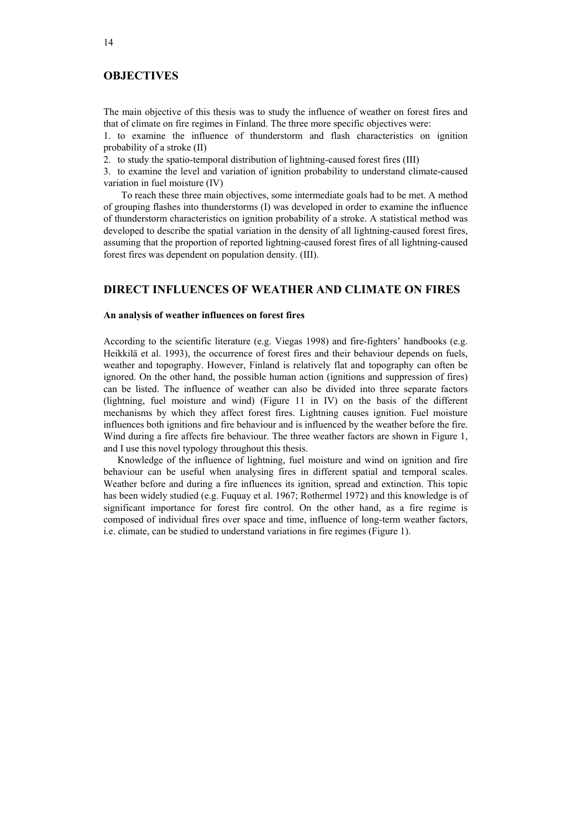# **OBJECTIVES**

The main objective of this thesis was to study the influence of weather on forest fires and that of climate on fire regimes in Finland. The three more specific objectives were:

1. to examine the influence of thunderstorm and flash characteristics on ignition probability of a stroke (II)

2. to study the spatio-temporal distribution of lightning-caused forest fires (III)

3. to examine the level and variation of ignition probability to understand climate-caused variation in fuel moisture (IV)

To reach these three main objectives, some intermediate goals had to be met. A method of grouping flashes into thunderstorms (I) was developed in order to examine the influence of thunderstorm characteristics on ignition probability of a stroke. A statistical method was developed to describe the spatial variation in the density of all lightning-caused forest fires, assuming that the proportion of reported lightning-caused forest fires of all lightning-caused forest fires was dependent on population density. (III).

# **DIRECT INFLUENCES OF WEATHER AND CLIMATE ON FIRES**

### **An analysis of weather influences on forest fires**

According to the scientific literature (e.g. Viegas 1998) and fire-fighters' handbooks (e.g. Heikkilä et al. 1993), the occurrence of forest fires and their behaviour depends on fuels, weather and topography. However, Finland is relatively flat and topography can often be ignored. On the other hand, the possible human action (ignitions and suppression of fires) can be listed. The influence of weather can also be divided into three separate factors (lightning, fuel moisture and wind) (Figure 11 in IV) on the basis of the different mechanisms by which they affect forest fires. Lightning causes ignition. Fuel moisture influences both ignitions and fire behaviour and is influenced by the weather before the fire. Wind during a fire affects fire behaviour. The three weather factors are shown in Figure 1, and I use this novel typology throughout this thesis.

Knowledge of the influence of lightning, fuel moisture and wind on ignition and fire behaviour can be useful when analysing fires in different spatial and temporal scales. Weather before and during a fire influences its ignition, spread and extinction. This topic has been widely studied (e.g. Fuquay et al. 1967; Rothermel 1972) and this knowledge is of significant importance for forest fire control. On the other hand, as a fire regime is composed of individual fires over space and time, influence of long-term weather factors, i.e. climate, can be studied to understand variations in fire regimes (Figure 1).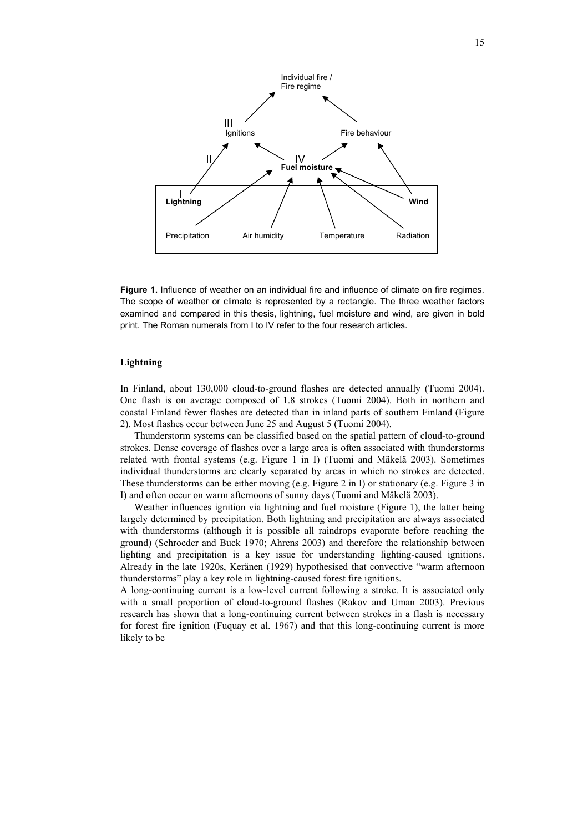

**Figure 1.** Influence of weather on an individual fire and influence of climate on fire regimes. The scope of weather or climate is represented by a rectangle. The three weather factors examined and compared in this thesis, lightning, fuel moisture and wind, are given in bold print. The Roman numerals from I to IV refer to the four research articles.

## **Lightning**

In Finland, about 130,000 cloud-to-ground flashes are detected annually (Tuomi 2004). One flash is on average composed of 1.8 strokes (Tuomi 2004). Both in northern and coastal Finland fewer flashes are detected than in inland parts of southern Finland (Figure 2). Most flashes occur between June 25 and August 5 (Tuomi 2004).

Thunderstorm systems can be classified based on the spatial pattern of cloud-to-ground strokes. Dense coverage of flashes over a large area is often associated with thunderstorms related with frontal systems (e.g. Figure 1 in I) (Tuomi and Mäkelä 2003). Sometimes individual thunderstorms are clearly separated by areas in which no strokes are detected. These thunderstorms can be either moving (e.g. Figure 2 in I) or stationary (e.g. Figure 3 in I) and often occur on warm afternoons of sunny days (Tuomi and Mäkelä 2003).

Weather influences ignition via lightning and fuel moisture (Figure 1), the latter being largely determined by precipitation. Both lightning and precipitation are always associated with thunderstorms (although it is possible all raindrops evaporate before reaching the ground) (Schroeder and Buck 1970; Ahrens 2003) and therefore the relationship between lighting and precipitation is a key issue for understanding lighting-caused ignitions. Already in the late 1920s, Keränen (1929) hypothesised that convective "warm afternoon thunderstorms" play a key role in lightning-caused forest fire ignitions.

A long-continuing current is a low-level current following a stroke. It is associated only with a small proportion of cloud-to-ground flashes (Rakov and Uman 2003). Previous research has shown that a long-continuing current between strokes in a flash is necessary for forest fire ignition (Fuquay et al. 1967) and that this long-continuing current is more likely to be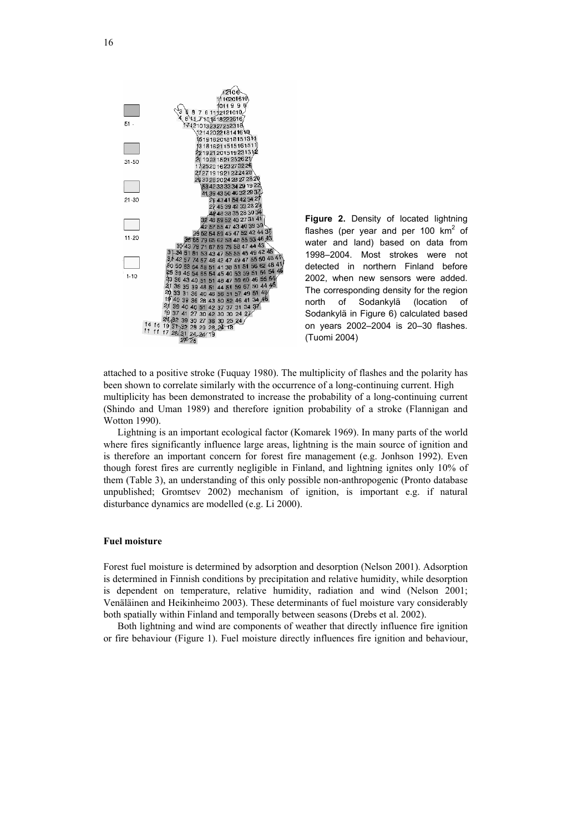

**Figure 2.** Density of located lightning flashes (per year and per 100  $km^2$  of water and land) based on data from 1998–2004. Most strokes were not detected in northern Finland before 2002, when new sensors were added. The corresponding density for the region north of Sodankylä (location of Sodankylä in Figure 6) calculated based on years 2002–2004 is 20–30 flashes. (Tuomi 2004)

attached to a positive stroke (Fuquay 1980). The multiplicity of flashes and the polarity has been shown to correlate similarly with the occurrence of a long-continuing current. High multiplicity has been demonstrated to increase the probability of a long-continuing current (Shindo and Uman 1989) and therefore ignition probability of a stroke (Flannigan and Wotton 1990).

Lightning is an important ecological factor (Komarek 1969). In many parts of the world where fires significantly influence large areas, lightning is the main source of ignition and is therefore an important concern for forest fire management (e.g. Jonhson 1992). Even though forest fires are currently negligible in Finland, and lightning ignites only 10% of them (Table 3), an understanding of this only possible non-anthropogenic (Pronto database unpublished; Gromtsev 2002) mechanism of ignition, is important e.g. if natural disturbance dynamics are modelled (e.g. Li 2000).

### **Fuel moisture**

Forest fuel moisture is determined by adsorption and desorption (Nelson 2001). Adsorption is determined in Finnish conditions by precipitation and relative humidity, while desorption is dependent on temperature, relative humidity, radiation and wind (Nelson 2001; Venäläinen and Heikinheimo 2003). These determinants of fuel moisture vary considerably both spatially within Finland and temporally between seasons (Drebs et al. 2002).

Both lightning and wind are components of weather that directly influence fire ignition or fire behaviour (Figure 1). Fuel moisture directly influences fire ignition and behaviour,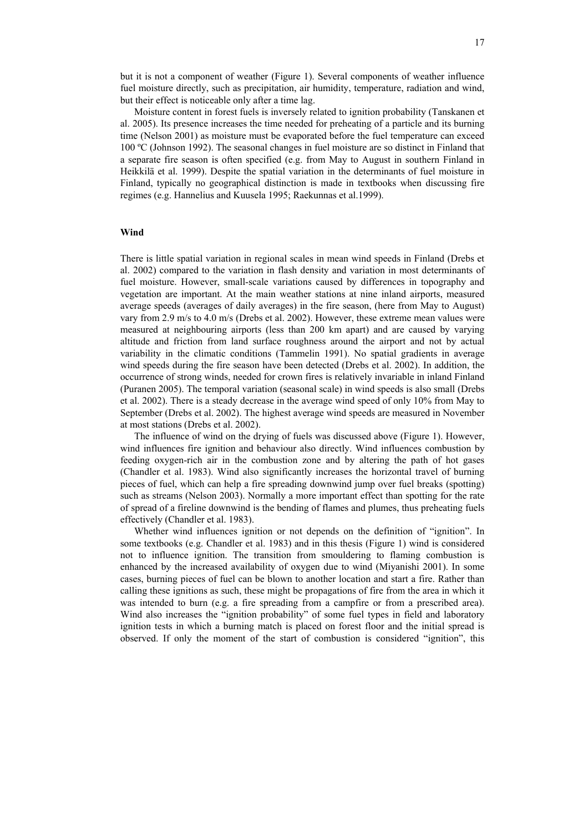but it is not a component of weather (Figure 1). Several components of weather influence fuel moisture directly, such as precipitation, air humidity, temperature, radiation and wind, but their effect is noticeable only after a time lag.

Moisture content in forest fuels is inversely related to ignition probability (Tanskanen et al. 2005). Its presence increases the time needed for preheating of a particle and its burning time (Nelson 2001) as moisture must be evaporated before the fuel temperature can exceed 100 ºC (Johnson 1992). The seasonal changes in fuel moisture are so distinct in Finland that a separate fire season is often specified (e.g. from May to August in southern Finland in Heikkilä et al. 1999). Despite the spatial variation in the determinants of fuel moisture in Finland, typically no geographical distinction is made in textbooks when discussing fire regimes (e.g. Hannelius and Kuusela 1995; Raekunnas et al.1999).

### **Wind**

There is little spatial variation in regional scales in mean wind speeds in Finland (Drebs et al. 2002) compared to the variation in flash density and variation in most determinants of fuel moisture. However, small-scale variations caused by differences in topography and vegetation are important. At the main weather stations at nine inland airports, measured average speeds (averages of daily averages) in the fire season, (here from May to August) vary from 2.9 m/s to 4.0 m/s (Drebs et al. 2002). However, these extreme mean values were measured at neighbouring airports (less than 200 km apart) and are caused by varying altitude and friction from land surface roughness around the airport and not by actual variability in the climatic conditions (Tammelin 1991). No spatial gradients in average wind speeds during the fire season have been detected (Drebs et al. 2002). In addition, the occurrence of strong winds, needed for crown fires is relatively invariable in inland Finland (Puranen 2005). The temporal variation (seasonal scale) in wind speeds is also small (Drebs et al. 2002). There is a steady decrease in the average wind speed of only 10% from May to September (Drebs et al. 2002). The highest average wind speeds are measured in November at most stations (Drebs et al. 2002).

The influence of wind on the drying of fuels was discussed above (Figure 1). However, wind influences fire ignition and behaviour also directly. Wind influences combustion by feeding oxygen-rich air in the combustion zone and by altering the path of hot gases (Chandler et al. 1983). Wind also significantly increases the horizontal travel of burning pieces of fuel, which can help a fire spreading downwind jump over fuel breaks (spotting) such as streams (Nelson 2003). Normally a more important effect than spotting for the rate of spread of a fireline downwind is the bending of flames and plumes, thus preheating fuels effectively (Chandler et al. 1983).

Whether wind influences ignition or not depends on the definition of "ignition". In some textbooks (e.g. Chandler et al. 1983) and in this thesis (Figure 1) wind is considered not to influence ignition. The transition from smouldering to flaming combustion is enhanced by the increased availability of oxygen due to wind (Miyanishi 2001). In some cases, burning pieces of fuel can be blown to another location and start a fire. Rather than calling these ignitions as such, these might be propagations of fire from the area in which it was intended to burn (e.g. a fire spreading from a campfire or from a prescribed area). Wind also increases the "ignition probability" of some fuel types in field and laboratory ignition tests in which a burning match is placed on forest floor and the initial spread is observed. If only the moment of the start of combustion is considered "ignition", this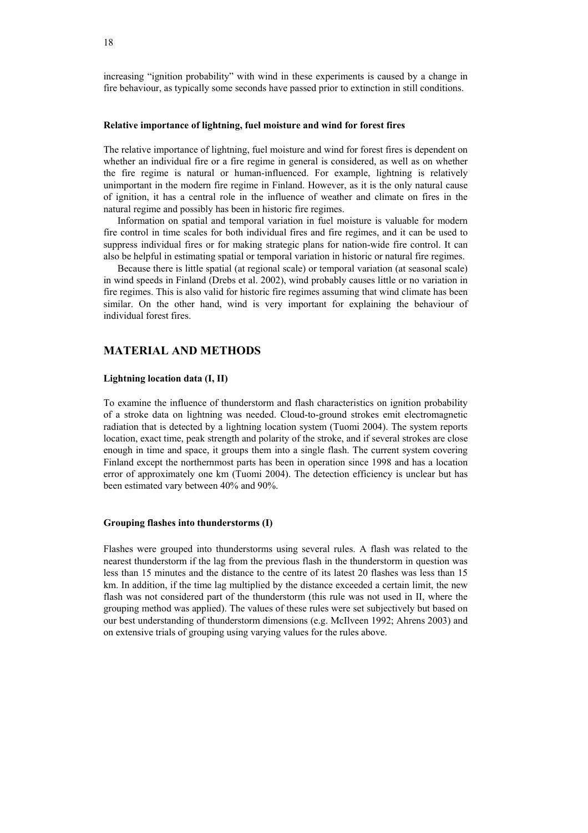increasing "ignition probability" with wind in these experiments is caused by a change in fire behaviour, as typically some seconds have passed prior to extinction in still conditions.

## **Relative importance of lightning, fuel moisture and wind for forest fires**

The relative importance of lightning, fuel moisture and wind for forest fires is dependent on whether an individual fire or a fire regime in general is considered, as well as on whether the fire regime is natural or human-influenced. For example, lightning is relatively unimportant in the modern fire regime in Finland. However, as it is the only natural cause of ignition, it has a central role in the influence of weather and climate on fires in the natural regime and possibly has been in historic fire regimes.

Information on spatial and temporal variation in fuel moisture is valuable for modern fire control in time scales for both individual fires and fire regimes, and it can be used to suppress individual fires or for making strategic plans for nation-wide fire control. It can also be helpful in estimating spatial or temporal variation in historic or natural fire regimes.

Because there is little spatial (at regional scale) or temporal variation (at seasonal scale) in wind speeds in Finland (Drebs et al. 2002), wind probably causes little or no variation in fire regimes. This is also valid for historic fire regimes assuming that wind climate has been similar. On the other hand, wind is very important for explaining the behaviour of individual forest fires.

# **MATERIAL AND METHODS**

## **Lightning location data (I, II)**

To examine the influence of thunderstorm and flash characteristics on ignition probability of a stroke data on lightning was needed. Cloud-to-ground strokes emit electromagnetic radiation that is detected by a lightning location system (Tuomi 2004). The system reports location, exact time, peak strength and polarity of the stroke, and if several strokes are close enough in time and space, it groups them into a single flash. The current system covering Finland except the northernmost parts has been in operation since 1998 and has a location error of approximately one km (Tuomi 2004). The detection efficiency is unclear but has been estimated vary between 40% and 90%.

#### **Grouping flashes into thunderstorms (I)**

Flashes were grouped into thunderstorms using several rules. A flash was related to the nearest thunderstorm if the lag from the previous flash in the thunderstorm in question was less than 15 minutes and the distance to the centre of its latest 20 flashes was less than 15 km. In addition, if the time lag multiplied by the distance exceeded a certain limit, the new flash was not considered part of the thunderstorm (this rule was not used in II, where the grouping method was applied). The values of these rules were set subjectively but based on our best understanding of thunderstorm dimensions (e.g. McIlveen 1992; Ahrens 2003) and on extensive trials of grouping using varying values for the rules above.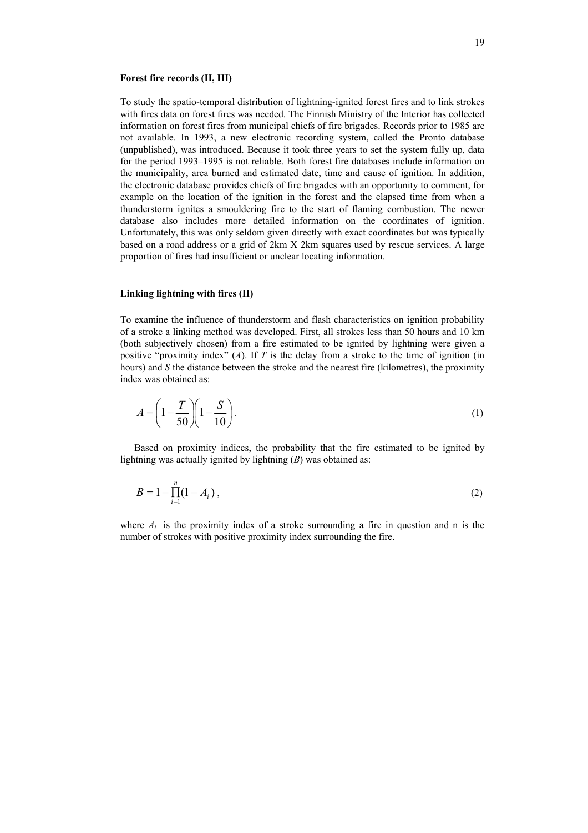#### **Forest fire records (II, III)**

To study the spatio-temporal distribution of lightning-ignited forest fires and to link strokes with fires data on forest fires was needed. The Finnish Ministry of the Interior has collected information on forest fires from municipal chiefs of fire brigades. Records prior to 1985 are not available. In 1993, a new electronic recording system, called the Pronto database (unpublished), was introduced. Because it took three years to set the system fully up, data for the period 1993–1995 is not reliable. Both forest fire databases include information on the municipality, area burned and estimated date, time and cause of ignition. In addition, the electronic database provides chiefs of fire brigades with an opportunity to comment, for example on the location of the ignition in the forest and the elapsed time from when a thunderstorm ignites a smouldering fire to the start of flaming combustion. The newer database also includes more detailed information on the coordinates of ignition. Unfortunately, this was only seldom given directly with exact coordinates but was typically based on a road address or a grid of 2km X 2km squares used by rescue services. A large proportion of fires had insufficient or unclear locating information.

### **Linking lightning with fires (II)**

To examine the influence of thunderstorm and flash characteristics on ignition probability of a stroke a linking method was developed. First, all strokes less than 50 hours and 10 km (both subjectively chosen) from a fire estimated to be ignited by lightning were given a positive "proximity index" (*A*). If *T* is the delay from a stroke to the time of ignition (in hours) and *S* the distance between the stroke and the nearest fire (kilometres), the proximity index was obtained as:

$$
A = \left(1 - \frac{T}{50}\right)\left(1 - \frac{S}{10}\right). \tag{1}
$$

Based on proximity indices, the probability that the fire estimated to be ignited by lightning was actually ignited by lightning (*B*) was obtained as:

$$
B = 1 - \prod_{i=1}^{n} (1 - A_i),
$$
 (2)

where  $A_i$  is the proximity index of a stroke surrounding a fire in question and n is the number of strokes with positive proximity index surrounding the fire.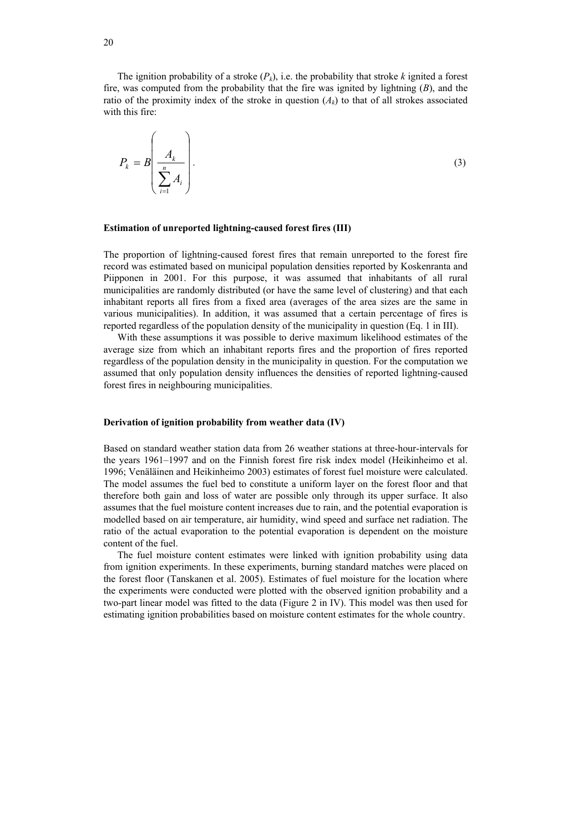The ignition probability of a stroke  $(P_k)$ , i.e. the probability that stroke  $k$  ignited a forest fire, was computed from the probability that the fire was ignited by lightning (*B*), and the ratio of the proximity index of the stroke in question  $(A_k)$  to that of all strokes associated with this fire:

$$
P_k = B \left( \frac{A_k}{\sum_{i=1}^n A_i} \right). \tag{3}
$$

#### **Estimation of unreported lightning-caused forest fires (III)**

The proportion of lightning-caused forest fires that remain unreported to the forest fire record was estimated based on municipal population densities reported by Koskenranta and Piipponen in 2001. For this purpose, it was assumed that inhabitants of all rural municipalities are randomly distributed (or have the same level of clustering) and that each inhabitant reports all fires from a fixed area (averages of the area sizes are the same in various municipalities). In addition, it was assumed that a certain percentage of fires is reported regardless of the population density of the municipality in question (Eq. 1 in III).

With these assumptions it was possible to derive maximum likelihood estimates of the average size from which an inhabitant reports fires and the proportion of fires reported regardless of the population density in the municipality in question. For the computation we assumed that only population density influences the densities of reported lightning-caused forest fires in neighbouring municipalities.

#### **Derivation of ignition probability from weather data (IV)**

Based on standard weather station data from 26 weather stations at three-hour-intervals for the years 1961–1997 and on the Finnish forest fire risk index model (Heikinheimo et al. 1996; Venäläinen and Heikinheimo 2003) estimates of forest fuel moisture were calculated. The model assumes the fuel bed to constitute a uniform layer on the forest floor and that therefore both gain and loss of water are possible only through its upper surface. It also assumes that the fuel moisture content increases due to rain, and the potential evaporation is modelled based on air temperature, air humidity, wind speed and surface net radiation. The ratio of the actual evaporation to the potential evaporation is dependent on the moisture content of the fuel.

The fuel moisture content estimates were linked with ignition probability using data from ignition experiments. In these experiments, burning standard matches were placed on the forest floor (Tanskanen et al. 2005). Estimates of fuel moisture for the location where the experiments were conducted were plotted with the observed ignition probability and a two-part linear model was fitted to the data (Figure 2 in IV). This model was then used for estimating ignition probabilities based on moisture content estimates for the whole country.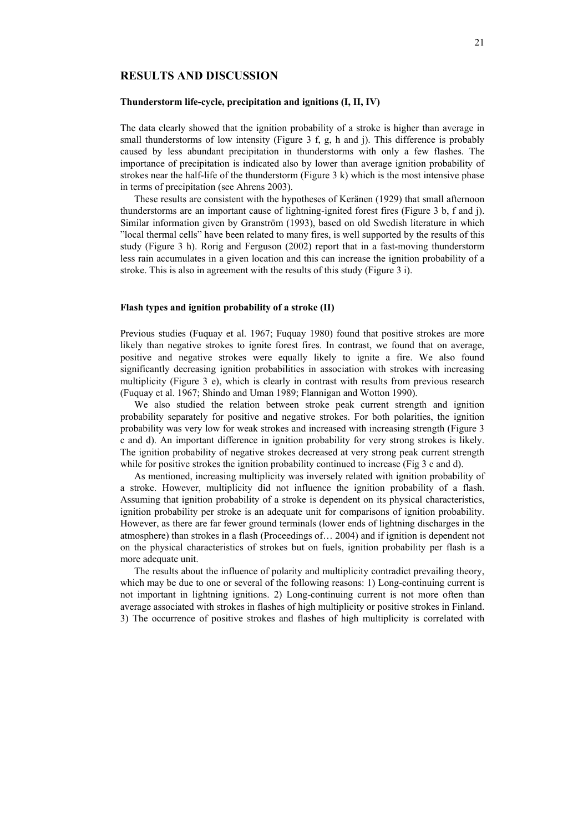# **RESULTS AND DISCUSSION**

## **Thunderstorm life-cycle, precipitation and ignitions (I, II, IV)**

The data clearly showed that the ignition probability of a stroke is higher than average in small thunderstorms of low intensity (Figure 3 f, g, h and j). This difference is probably caused by less abundant precipitation in thunderstorms with only a few flashes. The importance of precipitation is indicated also by lower than average ignition probability of strokes near the half-life of the thunderstorm (Figure 3 k) which is the most intensive phase in terms of precipitation (see Ahrens 2003).

These results are consistent with the hypotheses of Keränen (1929) that small afternoon thunderstorms are an important cause of lightning-ignited forest fires (Figure 3 b, f and j). Similar information given by Granström (1993), based on old Swedish literature in which "local thermal cells" have been related to many fires, is well supported by the results of this study (Figure 3 h). Rorig and Ferguson (2002) report that in a fast-moving thunderstorm less rain accumulates in a given location and this can increase the ignition probability of a stroke. This is also in agreement with the results of this study (Figure 3 i).

## **Flash types and ignition probability of a stroke (II)**

Previous studies (Fuquay et al. 1967; Fuquay 1980) found that positive strokes are more likely than negative strokes to ignite forest fires. In contrast, we found that on average, positive and negative strokes were equally likely to ignite a fire. We also found significantly decreasing ignition probabilities in association with strokes with increasing multiplicity (Figure 3 e), which is clearly in contrast with results from previous research (Fuquay et al. 1967; Shindo and Uman 1989; Flannigan and Wotton 1990).

We also studied the relation between stroke peak current strength and ignition probability separately for positive and negative strokes. For both polarities, the ignition probability was very low for weak strokes and increased with increasing strength (Figure 3 c and d). An important difference in ignition probability for very strong strokes is likely. The ignition probability of negative strokes decreased at very strong peak current strength while for positive strokes the ignition probability continued to increase (Fig 3 c and d).

As mentioned, increasing multiplicity was inversely related with ignition probability of a stroke. However, multiplicity did not influence the ignition probability of a flash. Assuming that ignition probability of a stroke is dependent on its physical characteristics, ignition probability per stroke is an adequate unit for comparisons of ignition probability. However, as there are far fewer ground terminals (lower ends of lightning discharges in the atmosphere) than strokes in a flash (Proceedings of… 2004) and if ignition is dependent not on the physical characteristics of strokes but on fuels, ignition probability per flash is a more adequate unit.

The results about the influence of polarity and multiplicity contradict prevailing theory, which may be due to one or several of the following reasons: 1) Long-continuing current is not important in lightning ignitions. 2) Long-continuing current is not more often than average associated with strokes in flashes of high multiplicity or positive strokes in Finland. 3) The occurrence of positive strokes and flashes of high multiplicity is correlated with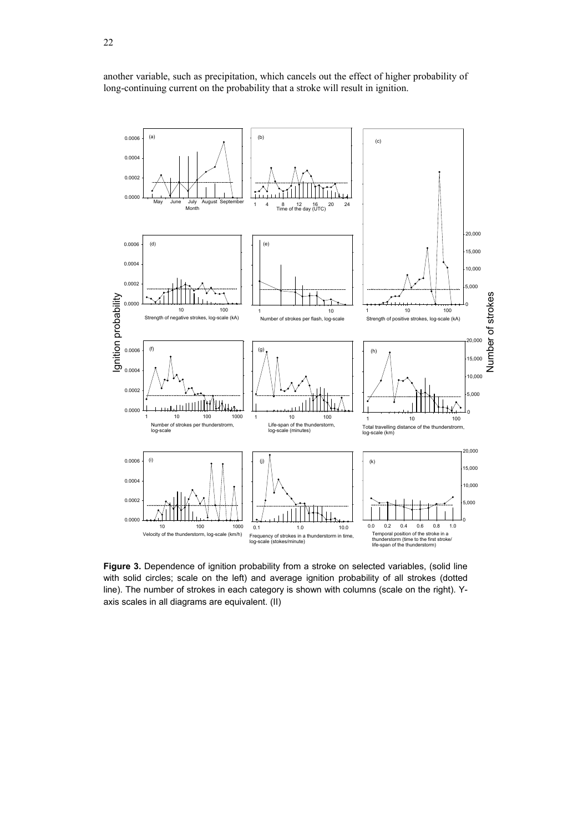another variable, such as precipitation, which cancels out the effect of higher probability of long-continuing current on the probability that a stroke will result in ignition.



**Figure 3.** Dependence of ignition probability from a stroke on selected variables, (solid line with solid circles; scale on the left) and average ignition probability of all strokes (dotted line). The number of strokes in each category is shown with columns (scale on the right). Yaxis scales in all diagrams are equivalent. (II)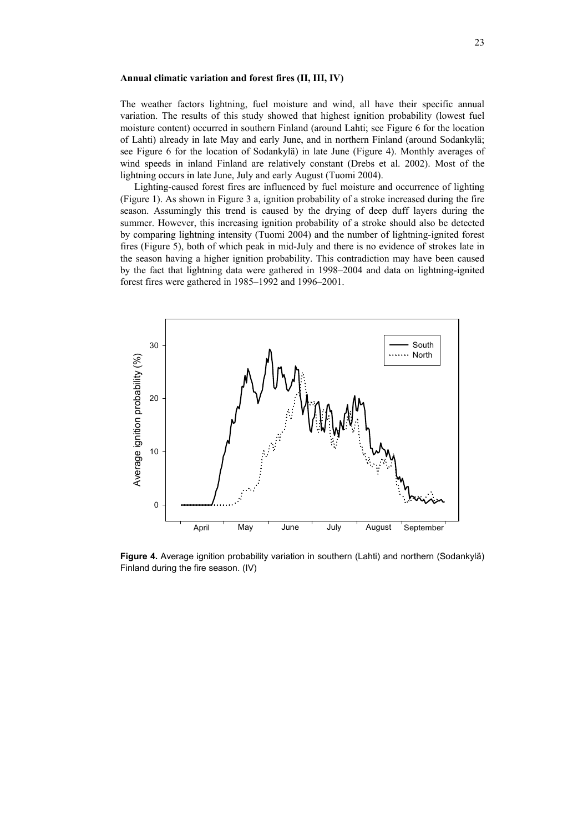#### **Annual climatic variation and forest fires (II, III, IV)**

The weather factors lightning, fuel moisture and wind, all have their specific annual variation. The results of this study showed that highest ignition probability (lowest fuel moisture content) occurred in southern Finland (around Lahti; see Figure 6 for the location of Lahti) already in late May and early June, and in northern Finland (around Sodankylä; see Figure 6 for the location of Sodankylä) in late June (Figure 4). Monthly averages of wind speeds in inland Finland are relatively constant (Drebs et al. 2002). Most of the lightning occurs in late June, July and early August (Tuomi 2004).

Lighting-caused forest fires are influenced by fuel moisture and occurrence of lighting (Figure 1). As shown in Figure 3 a, ignition probability of a stroke increased during the fire season. Assumingly this trend is caused by the drying of deep duff layers during the summer. However, this increasing ignition probability of a stroke should also be detected by comparing lightning intensity (Tuomi 2004) and the number of lightning-ignited forest fires (Figure 5), both of which peak in mid-July and there is no evidence of strokes late in the season having a higher ignition probability. This contradiction may have been caused by the fact that lightning data were gathered in 1998–2004 and data on lightning-ignited forest fires were gathered in 1985–1992 and 1996–2001.



**Figure 4.** Average ignition probability variation in southern (Lahti) and northern (Sodankylä) Finland during the fire season. (IV)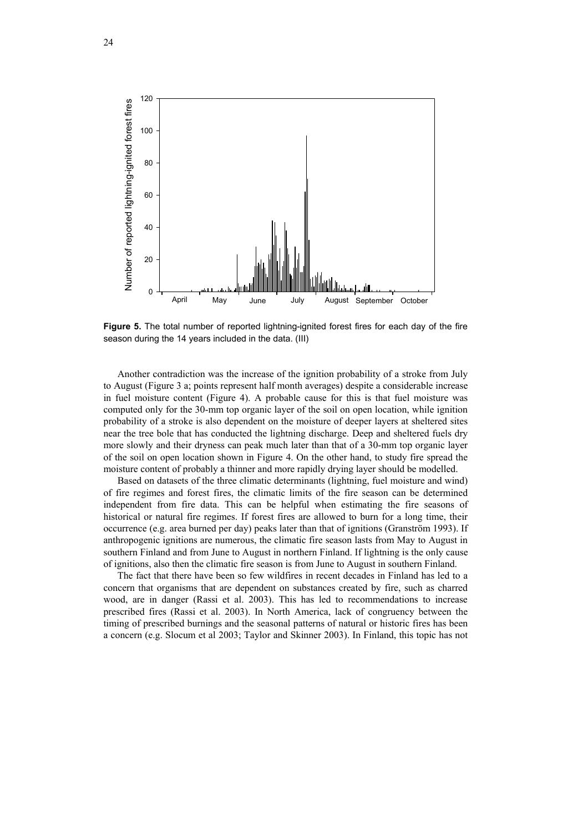

**Figure 5.** The total number of reported lightning-ignited forest fires for each day of the fire season during the 14 years included in the data. (III)

Another contradiction was the increase of the ignition probability of a stroke from July to August (Figure 3 a; points represent half month averages) despite a considerable increase in fuel moisture content (Figure 4). A probable cause for this is that fuel moisture was computed only for the 30-mm top organic layer of the soil on open location, while ignition probability of a stroke is also dependent on the moisture of deeper layers at sheltered sites near the tree bole that has conducted the lightning discharge. Deep and sheltered fuels dry more slowly and their dryness can peak much later than that of a 30-mm top organic layer of the soil on open location shown in Figure 4. On the other hand, to study fire spread the moisture content of probably a thinner and more rapidly drying layer should be modelled.

Based on datasets of the three climatic determinants (lightning, fuel moisture and wind) of fire regimes and forest fires, the climatic limits of the fire season can be determined independent from fire data. This can be helpful when estimating the fire seasons of historical or natural fire regimes. If forest fires are allowed to burn for a long time, their occurrence (e.g. area burned per day) peaks later than that of ignitions (Granström 1993). If anthropogenic ignitions are numerous, the climatic fire season lasts from May to August in southern Finland and from June to August in northern Finland. If lightning is the only cause of ignitions, also then the climatic fire season is from June to August in southern Finland.

The fact that there have been so few wildfires in recent decades in Finland has led to a concern that organisms that are dependent on substances created by fire, such as charred wood, are in danger (Rassi et al. 2003). This has led to recommendations to increase prescribed fires (Rassi et al. 2003). In North America, lack of congruency between the timing of prescribed burnings and the seasonal patterns of natural or historic fires has been a concern (e.g. Slocum et al 2003; Taylor and Skinner 2003). In Finland, this topic has not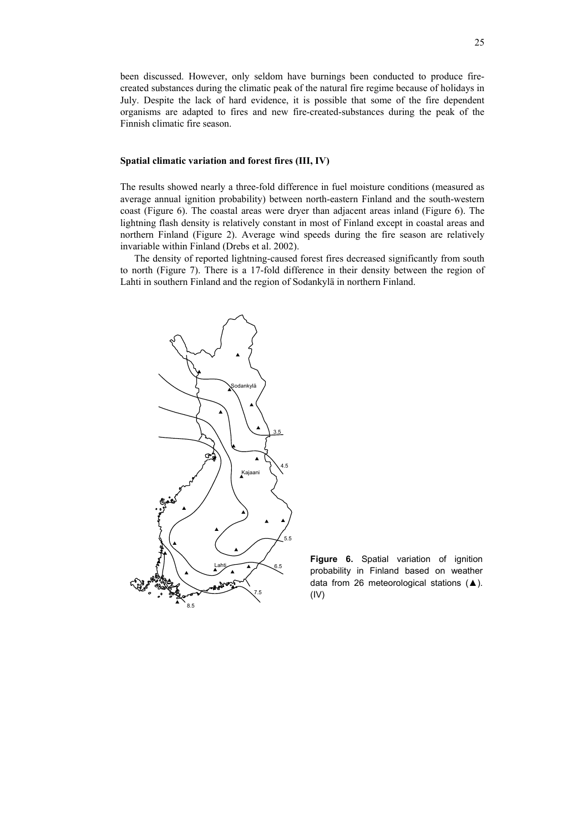been discussed. However, only seldom have burnings been conducted to produce firecreated substances during the climatic peak of the natural fire regime because of holidays in July. Despite the lack of hard evidence, it is possible that some of the fire dependent organisms are adapted to fires and new fire-created-substances during the peak of the Finnish climatic fire season.

## **Spatial climatic variation and forest fires (III, IV)**

The results showed nearly a three-fold difference in fuel moisture conditions (measured as average annual ignition probability) between north-eastern Finland and the south-western coast (Figure 6). The coastal areas were dryer than adjacent areas inland (Figure 6). The lightning flash density is relatively constant in most of Finland except in coastal areas and northern Finland (Figure 2). Average wind speeds during the fire season are relatively invariable within Finland (Drebs et al. 2002).

The density of reported lightning-caused forest fires decreased significantly from south to north (Figure 7). There is a 17-fold difference in their density between the region of Lahti in southern Finland and the region of Sodankylä in northern Finland.



**Figure 6.** Spatial variation of ignition probability in Finland based on weather data from 26 meteorological stations (▲). (IV)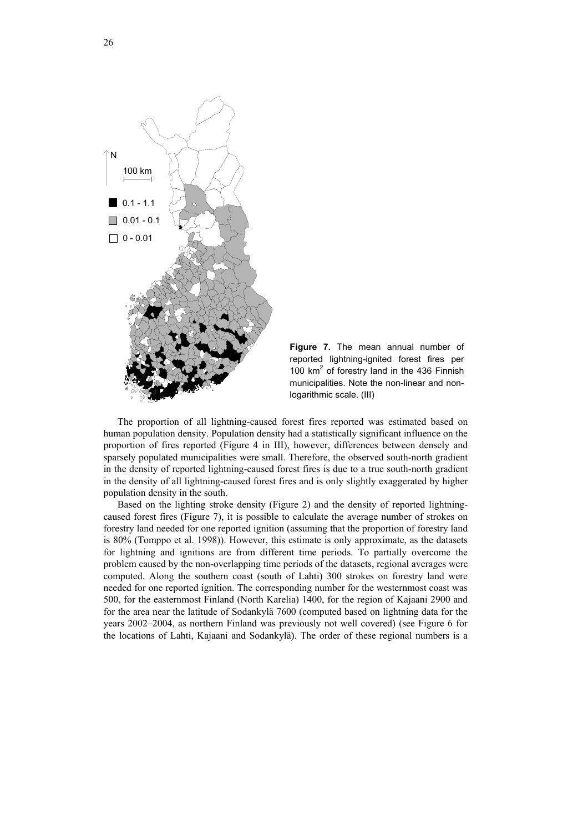

**Figure 7.** The mean annual number of reported lightning-ignited forest fires per 100  $km^2$  of forestry land in the 436 Finnish municipalities. Note the non-linear and nonlogarithmic scale. (III)

The proportion of all lightning-caused forest fires reported was estimated based on human population density. Population density had a statistically significant influence on the proportion of fires reported (Figure 4 in III), however, differences between densely and sparsely populated municipalities were small. Therefore, the observed south-north gradient in the density of reported lightning-caused forest fires is due to a true south-north gradient in the density of all lightning-caused forest fires and is only slightly exaggerated by higher population density in the south.

Based on the lighting stroke density (Figure 2) and the density of reported lightningcaused forest fires (Figure 7), it is possible to calculate the average number of strokes on forestry land needed for one reported ignition (assuming that the proportion of forestry land is 80% (Tomppo et al. 1998)). However, this estimate is only approximate, as the datasets for lightning and ignitions are from different time periods. To partially overcome the problem caused by the non-overlapping time periods of the datasets, regional averages were computed. Along the southern coast (south of Lahti) 300 strokes on forestry land were needed for one reported ignition. The corresponding number for the westernmost coast was 500, for the easternmost Finland (North Karelia) 1400, for the region of Kajaani 2900 and for the area near the latitude of Sodankylä 7600 (computed based on lightning data for the years 2002–2004, as northern Finland was previously not well covered) (see Figure 6 for the locations of Lahti, Kajaani and Sodankylä). The order of these regional numbers is a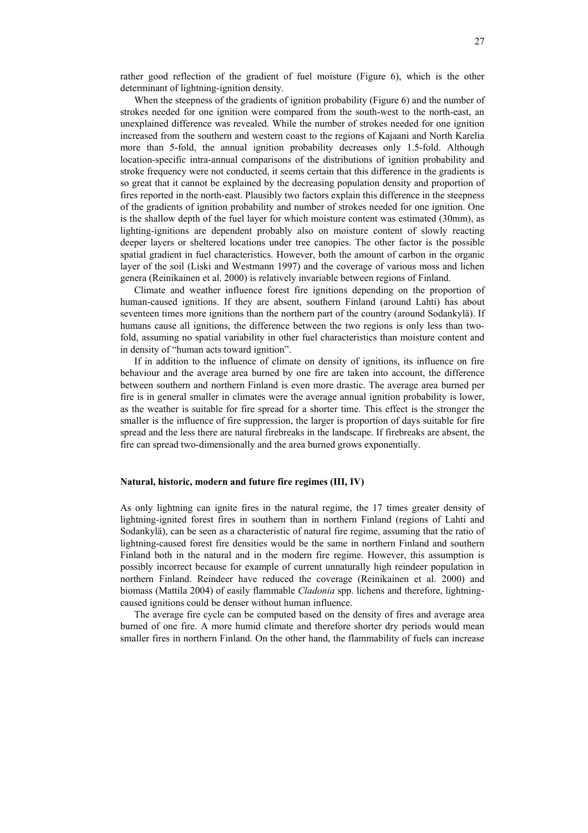rather good reflection of the gradient of fuel moisture (Figure 6), which is the other determinant of lightning-ignition density.

When the steepness of the gradients of ignition probability (Figure 6) and the number of strokes needed for one ignition were compared from the south-west to the north-east, an unexplained difference was revealed. While the number of strokes needed for one ignition increased from the southern and western coast to the regions of Kajaani and North Karelia more than 5-fold, the annual ignition probability decreases only 1.5-fold. Although location-specific intra-annual comparisons of the distributions of ignition probability and stroke frequency were not conducted, it seems certain that this difference in the gradients is so great that it cannot be explained by the decreasing population density and proportion of fires reported in the north-east. Plausibly two factors explain this difference in the steepness of the gradients of ignition probability and number of strokes needed for one ignition. One is the shallow depth of the fuel layer for which moisture content was estimated (30mm), as lighting-ignitions are dependent probably also on moisture content of slowly reacting deeper layers or sheltered locations under tree canopies. The other factor is the possible spatial gradient in fuel characteristics. However, both the amount of carbon in the organic layer of the soil (Liski and Westmann 1997) and the coverage of various moss and lichen genera (Reinikainen et al. 2000) is relatively invariable between regions of Finland.

Climate and weather influence forest fire ignitions depending on the proportion of human-caused ignitions. If they are absent, southern Finland (around Lahti) has about seventeen times more ignitions than the northern part of the country (around Sodankylä). If humans cause all ignitions, the difference between the two regions is only less than twofold, assuming no spatial variability in other fuel characteristics than moisture content and in density of "human acts toward ignition".

If in addition to the influence of climate on density of ignitions, its influence on fire behaviour and the average area burned by one fire are taken into account, the difference between southern and northern Finland is even more drastic. The average area burned per fire is in general smaller in climates were the average annual ignition probability is lower, as the weather is suitable for fire spread for a shorter time. This effect is the stronger the smaller is the influence of fire suppression, the larger is proportion of days suitable for fire spread and the less there are natural firebreaks in the landscape. If firebreaks are absent, the fire can spread two-dimensionally and the area burned grows exponentially.

#### **Natural, historic, modern and future fire regimes (III, IV)**

As only lightning can ignite fires in the natural regime, the 17 times greater density of lightning-ignited forest fires in southern than in northern Finland (regions of Lahti and Sodankylä), can be seen as a characteristic of natural fire regime, assuming that the ratio of lightning-caused forest fire densities would be the same in northern Finland and southern Finland both in the natural and in the modern fire regime. However, this assumption is possibly incorrect because for example of current unnaturally high reindeer population in northern Finland. Reindeer have reduced the coverage (Reinikainen et al. 2000) and biomass (Mattila 2004) of easily flammable *Cladonia* spp. lichens and therefore, lightningcaused ignitions could be denser without human influence.

The average fire cycle can be computed based on the density of fires and average area burned of one fire. A more humid climate and therefore shorter dry periods would mean smaller fires in northern Finland. On the other hand, the flammability of fuels can increase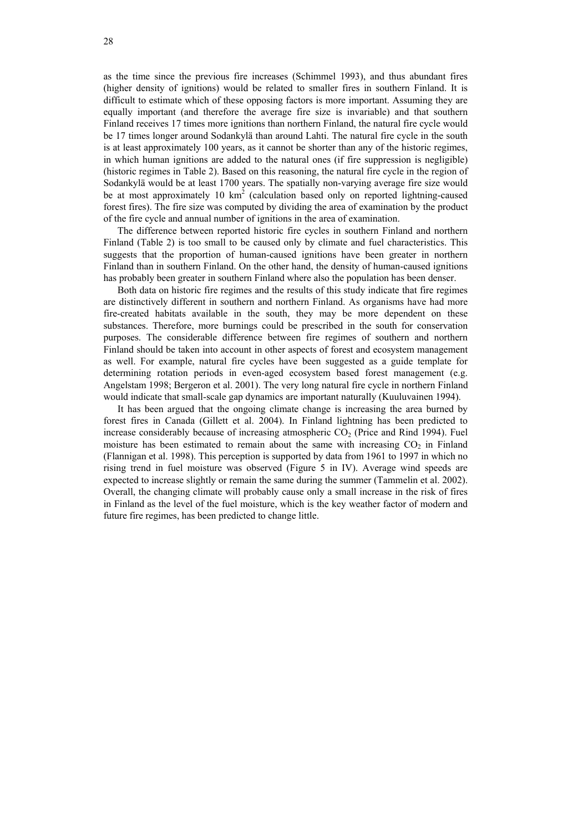as the time since the previous fire increases (Schimmel 1993), and thus abundant fires (higher density of ignitions) would be related to smaller fires in southern Finland. It is difficult to estimate which of these opposing factors is more important. Assuming they are equally important (and therefore the average fire size is invariable) and that southern Finland receives 17 times more ignitions than northern Finland, the natural fire cycle would be 17 times longer around Sodankylä than around Lahti. The natural fire cycle in the south is at least approximately 100 years, as it cannot be shorter than any of the historic regimes, in which human ignitions are added to the natural ones (if fire suppression is negligible) (historic regimes in Table 2). Based on this reasoning, the natural fire cycle in the region of Sodankylä would be at least 1700 years. The spatially non-varying average fire size would be at most approximately 10  $km^2$  (calculation based only on reported lightning-caused forest fires). The fire size was computed by dividing the area of examination by the product of the fire cycle and annual number of ignitions in the area of examination.

The difference between reported historic fire cycles in southern Finland and northern Finland (Table 2) is too small to be caused only by climate and fuel characteristics. This suggests that the proportion of human-caused ignitions have been greater in northern Finland than in southern Finland. On the other hand, the density of human-caused ignitions has probably been greater in southern Finland where also the population has been denser.

Both data on historic fire regimes and the results of this study indicate that fire regimes are distinctively different in southern and northern Finland. As organisms have had more fire-created habitats available in the south, they may be more dependent on these substances. Therefore, more burnings could be prescribed in the south for conservation purposes. The considerable difference between fire regimes of southern and northern Finland should be taken into account in other aspects of forest and ecosystem management as well. For example, natural fire cycles have been suggested as a guide template for determining rotation periods in even-aged ecosystem based forest management (e.g. Angelstam 1998; Bergeron et al. 2001). The very long natural fire cycle in northern Finland would indicate that small-scale gap dynamics are important naturally (Kuuluvainen 1994).

It has been argued that the ongoing climate change is increasing the area burned by forest fires in Canada (Gillett et al. 2004). In Finland lightning has been predicted to increase considerably because of increasing atmospheric  $CO<sub>2</sub>$  (Price and Rind 1994). Fuel moisture has been estimated to remain about the same with increasing  $CO<sub>2</sub>$  in Finland (Flannigan et al. 1998). This perception is supported by data from 1961 to 1997 in which no rising trend in fuel moisture was observed (Figure 5 in IV). Average wind speeds are expected to increase slightly or remain the same during the summer (Tammelin et al. 2002). Overall, the changing climate will probably cause only a small increase in the risk of fires in Finland as the level of the fuel moisture, which is the key weather factor of modern and future fire regimes, has been predicted to change little.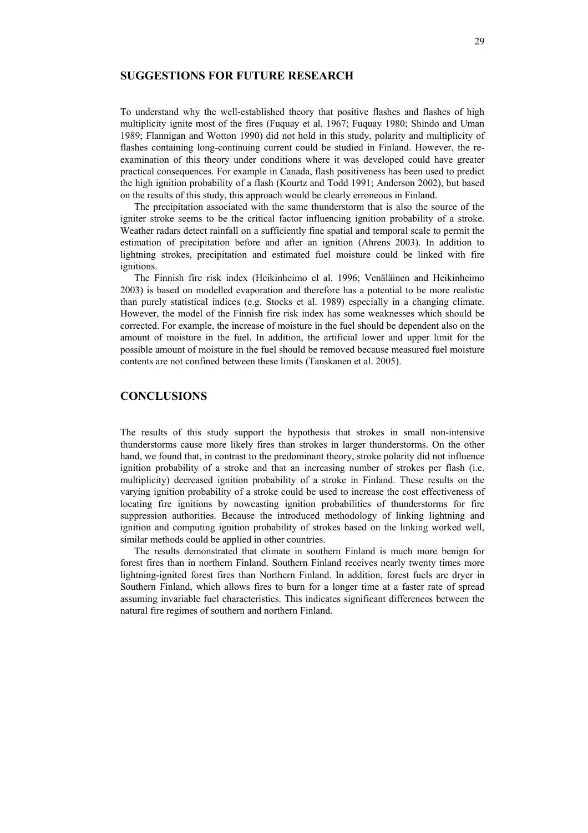# **SUGGESTIONS FOR FUTURE RESEARCH**

To understand why the well-established theory that positive flashes and flashes of high multiplicity ignite most of the fires (Fuquay et al. 1967; Fuquay 1980; Shindo and Uman 1989; Flannigan and Wotton 1990) did not hold in this study, polarity and multiplicity of flashes containing long-continuing current could be studied in Finland. However, the reexamination of this theory under conditions where it was developed could have greater practical consequences. For example in Canada, flash positiveness has been used to predict the high ignition probability of a flash (Kourtz and Todd 1991; Anderson 2002), but based on the results of this study, this approach would be clearly erroneous in Finland.

The precipitation associated with the same thunderstorm that is also the source of the igniter stroke seems to be the critical factor influencing ignition probability of a stroke. Weather radars detect rainfall on a sufficiently fine spatial and temporal scale to permit the estimation of precipitation before and after an ignition (Ahrens 2003). In addition to lightning strokes, precipitation and estimated fuel moisture could be linked with fire ignitions.

The Finnish fire risk index (Heikinheimo el al. 1996; Venäläinen and Heikinheimo 2003) is based on modelled evaporation and therefore has a potential to be more realistic than purely statistical indices (e.g. Stocks et al. 1989) especially in a changing climate. However, the model of the Finnish fire risk index has some weaknesses which should be corrected. For example, the increase of moisture in the fuel should be dependent also on the amount of moisture in the fuel. In addition, the artificial lower and upper limit for the possible amount of moisture in the fuel should be removed because measured fuel moisture contents are not confined between these limits (Tanskanen et al. 2005).

# **CONCLUSIONS**

The results of this study support the hypothesis that strokes in small non-intensive thunderstorms cause more likely fires than strokes in larger thunderstorms. On the other hand, we found that, in contrast to the predominant theory, stroke polarity did not influence ignition probability of a stroke and that an increasing number of strokes per flash (i.e. multiplicity) decreased ignition probability of a stroke in Finland. These results on the varying ignition probability of a stroke could be used to increase the cost effectiveness of locating fire ignitions by nowcasting ignition probabilities of thunderstorms for fire suppression authorities. Because the introduced methodology of linking lightning and ignition and computing ignition probability of strokes based on the linking worked well, similar methods could be applied in other countries.

The results demonstrated that climate in southern Finland is much more benign for forest fires than in northern Finland. Southern Finland receives nearly twenty times more lightning-ignited forest fires than Northern Finland. In addition, forest fuels are dryer in Southern Finland, which allows fires to burn for a longer time at a faster rate of spread assuming invariable fuel characteristics. This indicates significant differences between the natural fire regimes of southern and northern Finland.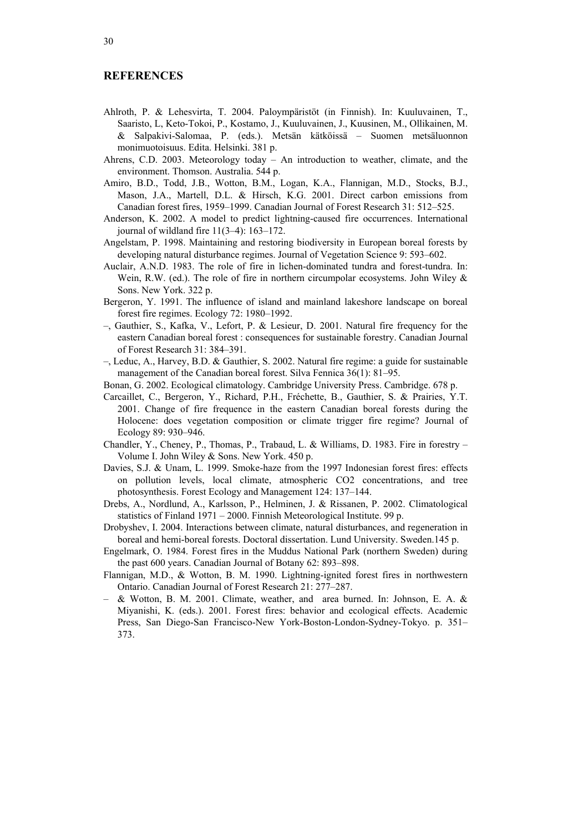## **REFERENCES**

- Ahlroth, P. & Lehesvirta, T. 2004. Paloympäristöt (in Finnish). In: Kuuluvainen, T., Saaristo, L, Keto-Tokoi, P., Kostamo, J., Kuuluvainen, J., Kuusinen, M., Ollikainen, M. & Salpakivi-Salomaa, P. (eds.). Metsän kätköissä – Suomen metsäluonnon monimuotoisuus. Edita. Helsinki. 381 p.
- Ahrens, C.D. 2003. Meteorology today An introduction to weather, climate, and the environment. Thomson. Australia. 544 p.
- Amiro, B.D., Todd, J.B., Wotton, B.M., Logan, K.A., Flannigan, M.D., Stocks, B.J., Mason, J.A., Martell, D.L. & Hirsch, K.G. 2001. Direct carbon emissions from Canadian forest fires, 1959–1999. Canadian Journal of Forest Research 31: 512–525.
- Anderson, K. 2002. A model to predict lightning-caused fire occurrences. International journal of wildland fire 11(3–4): 163–172.
- Angelstam, P. 1998. Maintaining and restoring biodiversity in European boreal forests by developing natural disturbance regimes. Journal of Vegetation Science 9: 593–602.
- Auclair, A.N.D. 1983. The role of fire in lichen-dominated tundra and forest-tundra. In: Wein, R.W. (ed.). The role of fire in northern circumpolar ecosystems. John Wiley  $\&$ Sons. New York. 322 p.
- Bergeron, Y. 1991. The influence of island and mainland lakeshore landscape on boreal forest fire regimes. Ecology 72: 1980–1992.
- –, Gauthier, S., Kafka, V., Lefort, P. & Lesieur, D. 2001. Natural fire frequency for the eastern Canadian boreal forest : consequences for sustainable forestry. Canadian Journal of Forest Research 31: 384–391.
- –, Leduc, A., Harvey, B.D. & Gauthier, S. 2002. Natural fire regime: a guide for sustainable management of the Canadian boreal forest. Silva Fennica 36(1): 81–95.
- Bonan, G. 2002. Ecological climatology. Cambridge University Press. Cambridge. 678 p.
- Carcaillet, C., Bergeron, Y., Richard, P.H., Fréchette, B., Gauthier, S. & Prairies, Y.T. 2001. Change of fire frequence in the eastern Canadian boreal forests during the Holocene: does vegetation composition or climate trigger fire regime? Journal of Ecology 89: 930–946.
- Chandler, Y., Cheney, P., Thomas, P., Trabaud, L. & Williams, D. 1983. Fire in forestry Volume I. John Wiley & Sons. New York. 450 p.
- Davies, S.J. & Unam, L. 1999. Smoke-haze from the 1997 Indonesian forest fires: effects on pollution levels, local climate, atmospheric CO2 concentrations, and tree photosynthesis. Forest Ecology and Management 124: 137–144.
- Drebs, A., Nordlund, A., Karlsson, P., Helminen, J. & Rissanen, P. 2002. Climatological statistics of Finland 1971 – 2000. Finnish Meteorological Institute. 99 p.
- Drobyshev, I. 2004. Interactions between climate, natural disturbances, and regeneration in boreal and hemi-boreal forests. Doctoral dissertation. Lund University. Sweden.145 p.
- Engelmark, O. 1984. Forest fires in the Muddus National Park (northern Sweden) during the past 600 years. Canadian Journal of Botany 62: 893–898.
- Flannigan, M.D., & Wotton, B. M. 1990. Lightning-ignited forest fires in northwestern Ontario. Canadian Journal of Forest Research 21: 277–287.
- & Wotton, B. M. 2001. Climate, weather, and area burned. In: Johnson, E. A. & Miyanishi, K. (eds.). 2001. Forest fires: behavior and ecological effects. Academic Press, San Diego-San Francisco-New York-Boston-London-Sydney-Tokyo. p. 351– 373.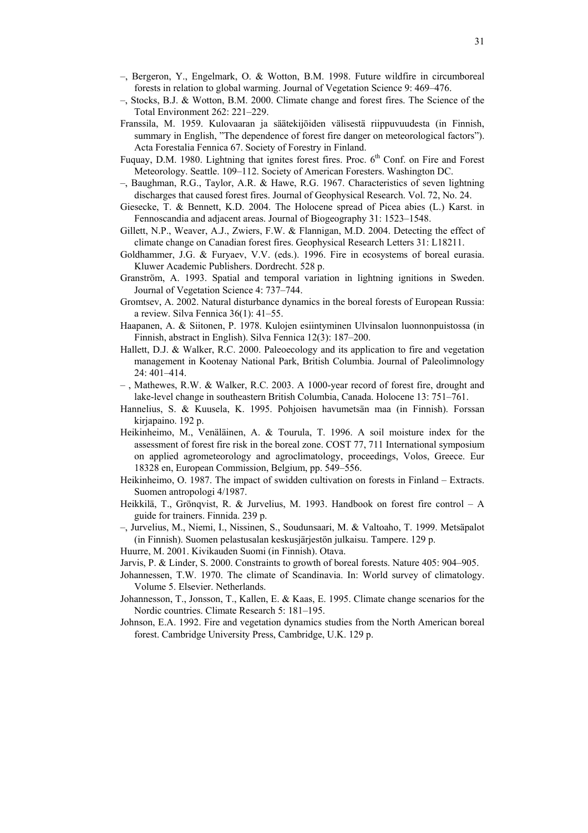- –, Bergeron, Y., Engelmark, O. & Wotton, B.M. 1998. Future wildfire in circumboreal forests in relation to global warming. Journal of Vegetation Science 9: 469–476.
- –, Stocks, B.J. & Wotton, B.M. 2000. Climate change and forest fires. The Science of the Total Environment 262: 221–229.
- Franssila, M. 1959. Kulovaaran ja säätekijöiden välisestä riippuvuudesta (in Finnish, summary in English, "The dependence of forest fire danger on meteorological factors"). Acta Forestalia Fennica 67. Society of Forestry in Finland.
- Fuquay, D.M. 1980. Lightning that ignites forest fires. Proc. 6<sup>th</sup> Conf. on Fire and Forest Meteorology. Seattle. 109–112. Society of American Foresters. Washington DC.
- –, Baughman, R.G., Taylor, A.R. & Hawe, R.G. 1967. Characteristics of seven lightning discharges that caused forest fires. Journal of Geophysical Research. Vol. 72, No. 24.
- Giesecke, T. & Bennett, K.D. 2004. The Holocene spread of Picea abies (L.) Karst. in Fennoscandia and adjacent areas. Journal of Biogeography 31: 1523–1548.
- Gillett, N.P., Weaver, A.J., Zwiers, F.W. & Flannigan, M.D. 2004. Detecting the effect of climate change on Canadian forest fires. Geophysical Research Letters 31: L18211.
- Goldhammer, J.G. & Furyaev, V.V. (eds.). 1996. Fire in ecosystems of boreal eurasia. Kluwer Academic Publishers. Dordrecht. 528 p.
- Granström, A. 1993. Spatial and temporal variation in lightning ignitions in Sweden. Journal of Vegetation Science 4: 737–744.
- Gromtsev, A. 2002. Natural disturbance dynamics in the boreal forests of European Russia: a review. Silva Fennica 36(1): 41–55.
- Haapanen, A. & Siitonen, P. 1978. Kulojen esiintyminen Ulvinsalon luonnonpuistossa (in Finnish, abstract in English). Silva Fennica 12(3): 187–200.
- Hallett, D.J. & Walker, R.C. 2000. Paleoecology and its application to fire and vegetation management in Kootenay National Park, British Columbia. Journal of Paleolimnology 24: 401–414.
- , Mathewes, R.W. & Walker, R.C. 2003. A 1000-year record of forest fire, drought and lake-level change in southeastern British Columbia, Canada. Holocene 13: 751–761.
- Hannelius, S. & Kuusela, K. 1995. Pohjoisen havumetsän maa (in Finnish). Forssan kirjapaino. 192 p.
- Heikinheimo, M., Venäläinen, A. & Tourula, T. 1996. A soil moisture index for the assessment of forest fire risk in the boreal zone. COST 77, 711 International symposium on applied agrometeorology and agroclimatology, proceedings, Volos, Greece. Eur 18328 en, European Commission, Belgium, pp. 549–556.
- Heikinheimo, O. 1987. The impact of swidden cultivation on forests in Finland Extracts. Suomen antropologi 4/1987.
- Heikkilä, T., Grönqvist, R. & Jurvelius, M. 1993. Handbook on forest fire control A guide for trainers. Finnida. 239 p.
- –, Jurvelius, M., Niemi, I., Nissinen, S., Soudunsaari, M. & Valtoaho, T. 1999. Metsäpalot (in Finnish). Suomen pelastusalan keskusjärjestön julkaisu. Tampere. 129 p.
- Huurre, M. 2001. Kivikauden Suomi (in Finnish). Otava.
- Jarvis, P. & Linder, S. 2000. Constraints to growth of boreal forests. Nature 405: 904–905.
- Johannessen, T.W. 1970. The climate of Scandinavia. In: World survey of climatology. Volume 5. Elsevier. Netherlands.
- Johannesson, T., Jonsson, T., Kallen, E. & Kaas, E. 1995. Climate change scenarios for the Nordic countries. Climate Research 5: 181–195.
- Johnson, E.A. 1992. Fire and vegetation dynamics studies from the North American boreal forest. Cambridge University Press, Cambridge, U.K. 129 p.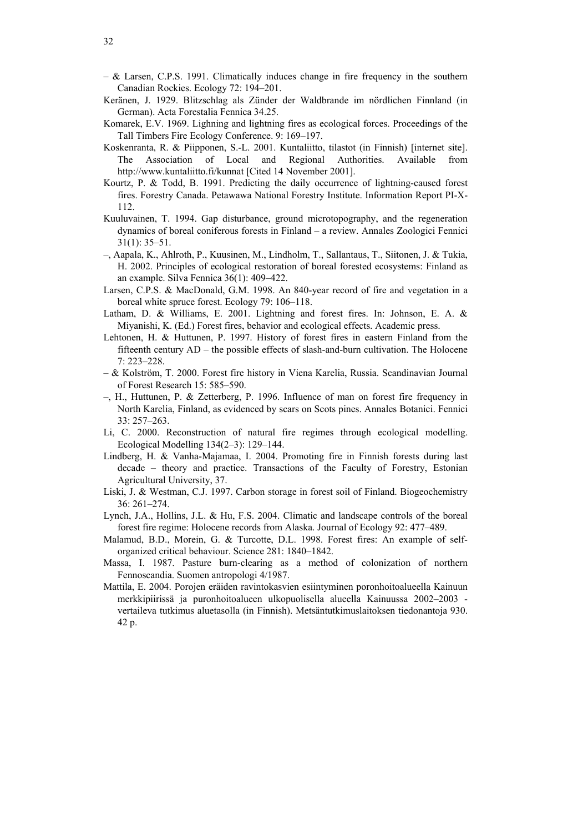- $-$  & Larsen, C.P.S. 1991. Climatically induces change in fire frequency in the southern Canadian Rockies. Ecology 72: 194–201.
- Keränen, J. 1929. Blitzschlag als Zünder der Waldbrande im nördlichen Finnland (in German). Acta Forestalia Fennica 34.25.
- Komarek, E.V. 1969. Lighning and lightning fires as ecological forces. Proceedings of the Tall Timbers Fire Ecology Conference. 9: 169–197.
- Koskenranta, R. & Piipponen, S.-L. 2001. Kuntaliitto, tilastot (in Finnish) [internet site]. The Association of Local and Regional Authorities. Available from http://www.kuntaliitto.fi/kunnat [Cited 14 November 2001].
- Kourtz, P. & Todd, B. 1991. Predicting the daily occurrence of lightning-caused forest fires. Forestry Canada. Petawawa National Forestry Institute. Information Report PI-X-112.
- Kuuluvainen, T. 1994. Gap disturbance, ground microtopography, and the regeneration dynamics of boreal coniferous forests in Finland – a review. Annales Zoologici Fennici 31(1): 35–51.
- –, Aapala, K., Ahlroth, P., Kuusinen, M., Lindholm, T., Sallantaus, T., Siitonen, J. & Tukia, H. 2002. Principles of ecological restoration of boreal forested ecosystems: Finland as an example. Silva Fennica 36(1): 409–422.
- Larsen, C.P.S. & MacDonald, G.M. 1998. An 840-year record of fire and vegetation in a boreal white spruce forest. Ecology 79: 106–118.
- Latham, D. & Williams, E. 2001. Lightning and forest fires. In: Johnson, E. A. & Miyanishi, K. (Ed.) Forest fires, behavior and ecological effects. Academic press.
- Lehtonen, H. & Huttunen, P. 1997. History of forest fires in eastern Finland from the fifteenth century AD – the possible effects of slash-and-burn cultivation. The Holocene 7: 223–228.
- & Kolström, T. 2000. Forest fire history in Viena Karelia, Russia. Scandinavian Journal of Forest Research 15: 585–590.
- –, H., Huttunen, P. & Zetterberg, P. 1996. Influence of man on forest fire frequency in North Karelia, Finland, as evidenced by scars on Scots pines. Annales Botanici. Fennici 33: 257–263.
- Li, C. 2000. Reconstruction of natural fire regimes through ecological modelling. Ecological Modelling 134(2–3): 129–144.
- Lindberg, H. & Vanha-Majamaa, I. 2004. Promoting fire in Finnish forests during last decade – theory and practice. Transactions of the Faculty of Forestry, Estonian Agricultural University, 37.
- Liski, J. & Westman, C.J. 1997. Carbon storage in forest soil of Finland. Biogeochemistry 36: 261–274.
- Lynch, J.A., Hollins, J.L. & Hu, F.S. 2004. Climatic and landscape controls of the boreal forest fire regime: Holocene records from Alaska. Journal of Ecology 92: 477–489.
- Malamud, B.D., Morein, G. & Turcotte, D.L. 1998. Forest fires: An example of selforganized critical behaviour. Science 281: 1840–1842.
- Massa, I. 1987. Pasture burn-clearing as a method of colonization of northern Fennoscandia. Suomen antropologi 4/1987.
- Mattila, E. 2004. Porojen eräiden ravintokasvien esiintyminen poronhoitoalueella Kainuun merkkipiirissä ja puronhoitoalueen ulkopuolisella alueella Kainuussa 2002–2003 vertaileva tutkimus aluetasolla (in Finnish). Metsäntutkimuslaitoksen tiedonantoja 930. 42 p.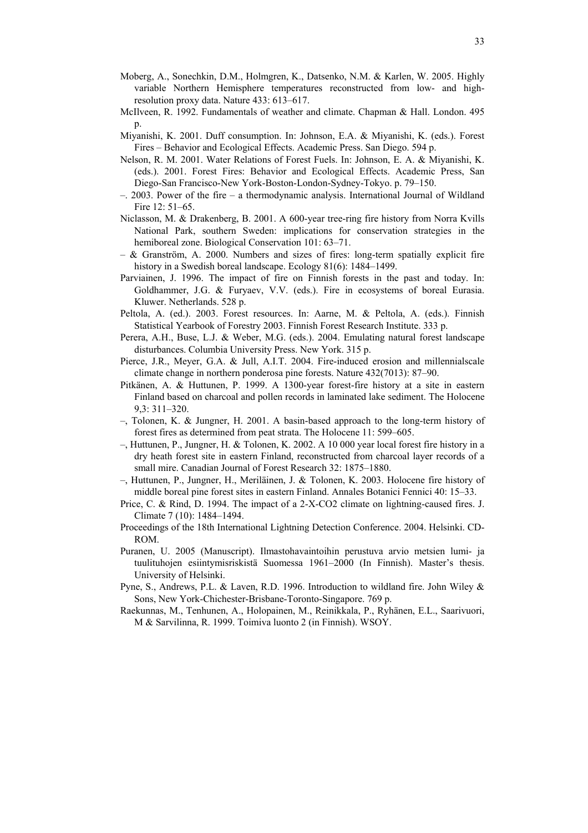- Moberg, A., Sonechkin, D.M., Holmgren, K., Datsenko, N.M. & Karlen, W. 2005. Highly variable Northern Hemisphere temperatures reconstructed from low- and highresolution proxy data. Nature 433: 613–617.
- McIlveen, R. 1992. Fundamentals of weather and climate. Chapman & Hall. London. 495  $p$ .
- Miyanishi, K. 2001. Duff consumption. In: Johnson, E.A. & Miyanishi, K. (eds.). Forest Fires – Behavior and Ecological Effects. Academic Press. San Diego. 594 p.
- Nelson, R. M. 2001. Water Relations of Forest Fuels. In: Johnson, E. A. & Miyanishi, K. (eds.). 2001. Forest Fires: Behavior and Ecological Effects. Academic Press, San Diego-San Francisco-New York-Boston-London-Sydney-Tokyo. p. 79–150.
- –. 2003. Power of the fire a thermodynamic analysis. International Journal of Wildland Fire 12: 51–65.
- Niclasson, M. & Drakenberg, B. 2001. A 600-year tree-ring fire history from Norra Kvills National Park, southern Sweden: implications for conservation strategies in the hemiboreal zone. Biological Conservation 101: 63–71.
- & Granström, A. 2000. Numbers and sizes of fires: long-term spatially explicit fire history in a Swedish boreal landscape. Ecology 81(6): 1484–1499.
- Parviainen, J. 1996. The impact of fire on Finnish forests in the past and today. In: Goldhammer, J.G. & Furyaev, V.V. (eds.). Fire in ecosystems of boreal Eurasia. Kluwer. Netherlands. 528 p.
- Peltola, A. (ed.). 2003. Forest resources. In: Aarne, M. & Peltola, A. (eds.). Finnish Statistical Yearbook of Forestry 2003. Finnish Forest Research Institute. 333 p.
- Perera, A.H., Buse, L.J. & Weber, M.G. (eds.). 2004. Emulating natural forest landscape disturbances. Columbia University Press. New York. 315 p.
- Pierce, J.R., Meyer, G.A. & Jull, A.I.T. 2004. Fire-induced erosion and millennialscale climate change in northern ponderosa pine forests. Nature 432(7013): 87–90.
- Pitkänen, A. & Huttunen, P. 1999. A 1300-year forest-fire history at a site in eastern Finland based on charcoal and pollen records in laminated lake sediment. The Holocene 9,3: 311–320.
- –, Tolonen, K. & Jungner, H. 2001. A basin-based approach to the long-term history of forest fires as determined from peat strata. The Holocene 11: 599–605.
- –, Huttunen, P., Jungner, H. & Tolonen, K. 2002. A 10 000 year local forest fire history in a dry heath forest site in eastern Finland, reconstructed from charcoal layer records of a small mire. Canadian Journal of Forest Research 32: 1875–1880.
- –, Huttunen, P., Jungner, H., Meriläinen, J. & Tolonen, K. 2003. Holocene fire history of middle boreal pine forest sites in eastern Finland. Annales Botanici Fennici 40: 15–33.
- Price, C. & Rind, D. 1994. The impact of a 2-X-CO2 climate on lightning-caused fires. J. Climate 7 (10): 1484–1494.
- Proceedings of the 18th International Lightning Detection Conference. 2004. Helsinki. CD-ROM.
- Puranen, U. 2005 (Manuscript). Ilmastohavaintoihin perustuva arvio metsien lumi- ja tuulituhojen esiintymisriskistä Suomessa 1961–2000 (In Finnish). Master's thesis. University of Helsinki.
- Pyne, S., Andrews, P.L. & Laven, R.D. 1996. Introduction to wildland fire. John Wiley & Sons, New York-Chichester-Brisbane-Toronto-Singapore. 769 p.
- Raekunnas, M., Tenhunen, A., Holopainen, M., Reinikkala, P., Ryhänen, E.L., Saarivuori, M & Sarvilinna, R. 1999. Toimiva luonto 2 (in Finnish). WSOY.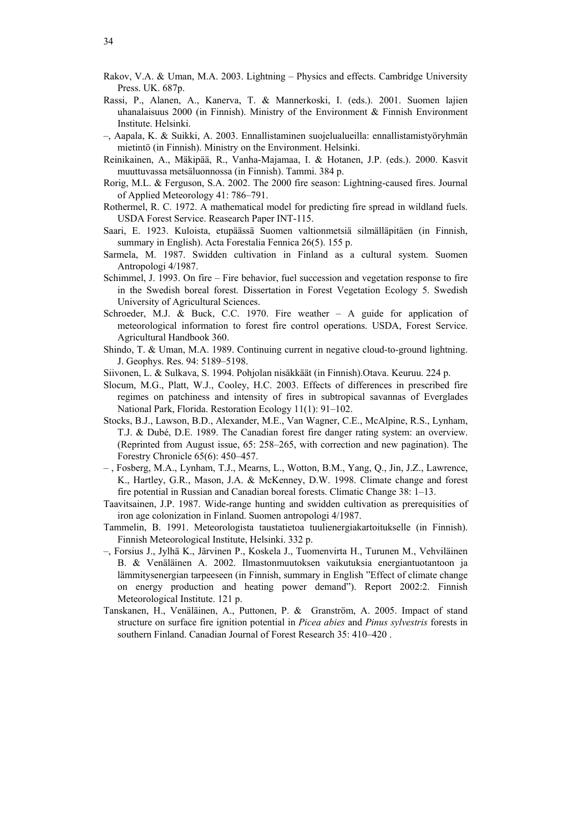- Rakov, V.A. & Uman, M.A. 2003. Lightning Physics and effects. Cambridge University Press. UK. 687p.
- Rassi, P., Alanen, A., Kanerva, T. & Mannerkoski, I. (eds.). 2001. Suomen lajien uhanalaisuus 2000 (in Finnish). Ministry of the Environment & Finnish Environment Institute. Helsinki.
- –, Aapala, K. & Suikki, A. 2003. Ennallistaminen suojelualueilla: ennallistamistyöryhmän mietintö (in Finnish). Ministry on the Environment. Helsinki.
- Reinikainen, A., Mäkipää, R., Vanha-Majamaa, I. & Hotanen, J.P. (eds.). 2000. Kasvit muuttuvassa metsäluonnossa (in Finnish). Tammi. 384 p.
- Rorig, M.L. & Ferguson, S.A. 2002. The 2000 fire season: Lightning-caused fires. Journal of Applied Meteorology 41: 786–791.
- Rothermel, R. C. 1972. A mathematical model for predicting fire spread in wildland fuels. USDA Forest Service. Reasearch Paper INT-115.
- Saari, E. 1923. Kuloista, etupäässä Suomen valtionmetsiä silmälläpitäen (in Finnish, summary in English). Acta Forestalia Fennica 26(5). 155 p.
- Sarmela, M. 1987. Swidden cultivation in Finland as a cultural system. Suomen Antropologi 4/1987.
- Schimmel, J. 1993. On fire Fire behavior, fuel succession and vegetation response to fire in the Swedish boreal forest. Dissertation in Forest Vegetation Ecology 5. Swedish University of Agricultural Sciences.
- Schroeder, M.J. & Buck, C.C. 1970. Fire weather  $-$  A guide for application of meteorological information to forest fire control operations. USDA, Forest Service. Agricultural Handbook 360.
- Shindo, T. & Uman, M.A. 1989. Continuing current in negative cloud-to-ground lightning. J. Geophys. Res. 94: 5189–5198.
- Siivonen, L. & Sulkava, S. 1994. Pohjolan nisäkkäät (in Finnish).Otava. Keuruu. 224 p.
- Slocum, M.G., Platt, W.J., Cooley, H.C. 2003. Effects of differences in prescribed fire regimes on patchiness and intensity of fires in subtropical savannas of Everglades National Park, Florida. Restoration Ecology 11(1): 91–102.
- Stocks, B.J., Lawson, B.D., Alexander, M.E., Van Wagner, C.E., McAlpine, R.S., Lynham, T.J. & Dubé, D.E. 1989. The Canadian forest fire danger rating system: an overview. (Reprinted from August issue, 65: 258–265, with correction and new pagination). The Forestry Chronicle 65(6): 450–457.
- , Fosberg, M.A., Lynham, T.J., Mearns, L., Wotton, B.M., Yang, Q., Jin, J.Z., Lawrence, K., Hartley, G.R., Mason, J.A. & McKenney, D.W. 1998. Climate change and forest fire potential in Russian and Canadian boreal forests. Climatic Change 38: 1–13.
- Taavitsainen, J.P. 1987. Wide-range hunting and swidden cultivation as prerequisities of iron age colonization in Finland. Suomen antropologi 4/1987.
- Tammelin, B. 1991. Meteorologista taustatietoa tuulienergiakartoitukselle (in Finnish). Finnish Meteorological Institute, Helsinki. 332 p.
- –, Forsius J., Jylhä K., Järvinen P., Koskela J., Tuomenvirta H., Turunen M., Vehviläinen B. & Venäläinen A. 2002. Ilmastonmuutoksen vaikutuksia energiantuotantoon ja lämmitysenergian tarpeeseen (in Finnish, summary in English "Effect of climate change on energy production and heating power demand"). Report 2002:2. Finnish Meteorological Institute. 121 p.
- Tanskanen, H., Venäläinen, A., Puttonen, P. & Granström, A. 2005. Impact of stand structure on surface fire ignition potential in *Picea abies* and *Pinus sylvestris* forests in southern Finland. Canadian Journal of Forest Research 35: 410–420 .